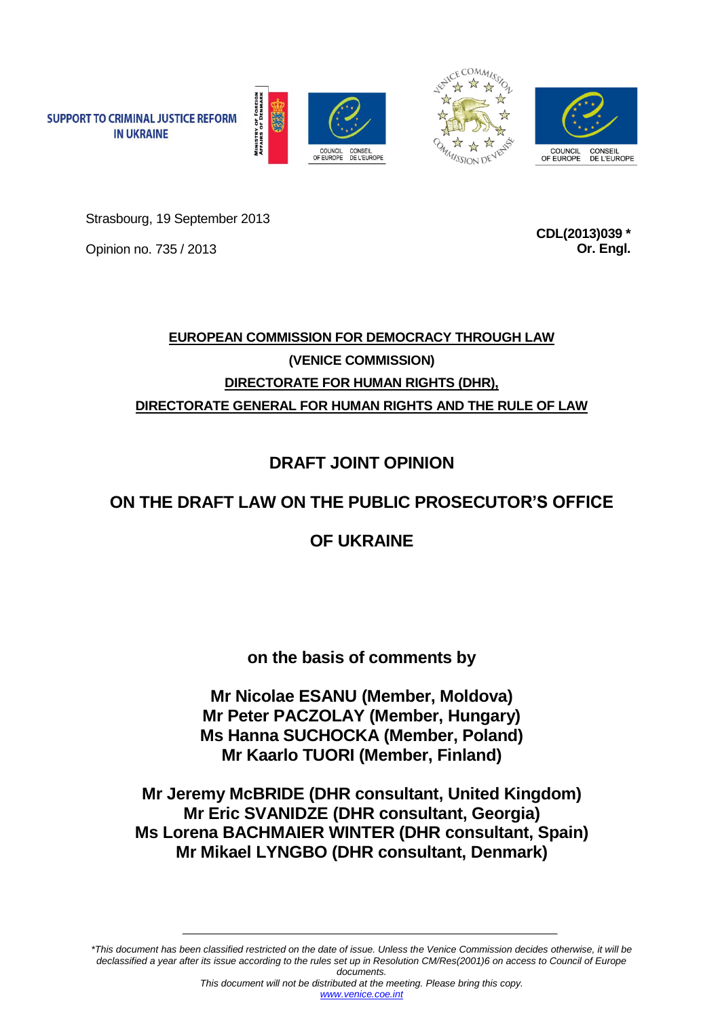





Strasbourg, 19 September 2013

Opinion no. 735 / 2013

**SUPPORT TO CRIMINAL JUSTICE REFORM IN UKRAINE** 

> **CDL(2013)039 \* Or. Engl.**

# **EUROPEAN COMMISSION FOR DEMOCRACY THROUGH LAW (VENICE COMMISSION) DIRECTORATE FOR HUMAN RIGHTS (DHR), DIRECTORATE GENERAL FOR HUMAN RIGHTS AND THE RULE OF LAW**

**DRAFT JOINT OPINION**

# **ON THE DRAFT LAW ON THE PUBLIC PROSECUTOR'S OFFICE**

# **OF UKRAINE**

**on the basis of comments by**

**Mr Nicolae ESANU (Member, Moldova) Mr Peter PACZOLAY (Member, Hungary) Ms Hanna SUCHOCKA (Member, Poland) Mr Kaarlo TUORI (Member, Finland)**

**Mr Jeremy McBRIDE (DHR consultant, United Kingdom) Mr Eric SVANIDZE (DHR consultant, Georgia) Ms Lorena BACHMAIER WINTER (DHR consultant, Spain) Mr Mikael LYNGBO (DHR consultant, Denmark)**

*\*This document has been classified restricted on the date of issue. Unless the Venice Commission decides otherwise, it will be declassified a year after its issue according to the rules set up in Resolution CM/Res(2001)6 on access to Council of Europe documents.*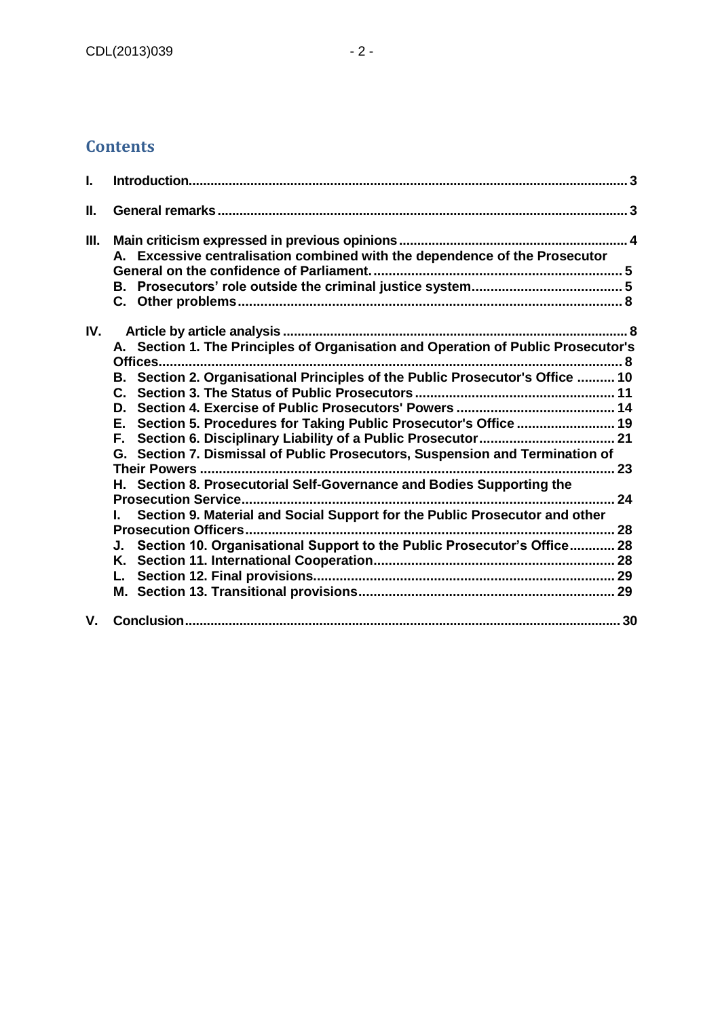# **Contents**

| L    |                                                                                                                                                                                                                                                                                                                                                                                                                                                                                                                                                                                                         |  |
|------|---------------------------------------------------------------------------------------------------------------------------------------------------------------------------------------------------------------------------------------------------------------------------------------------------------------------------------------------------------------------------------------------------------------------------------------------------------------------------------------------------------------------------------------------------------------------------------------------------------|--|
| П.   |                                                                                                                                                                                                                                                                                                                                                                                                                                                                                                                                                                                                         |  |
| III. | A. Excessive centralisation combined with the dependence of the Prosecutor                                                                                                                                                                                                                                                                                                                                                                                                                                                                                                                              |  |
| IV.  | A. Section 1. The Principles of Organisation and Operation of Public Prosecutor's<br>Offices<br>B. Section 2. Organisational Principles of the Public Prosecutor's Office  10<br>E. Section 5. Procedures for Taking Public Prosecutor's Office  19<br>G. Section 7. Dismissal of Public Prosecutors, Suspension and Termination of<br>H. Section 8. Prosecutorial Self-Governance and Bodies Supporting the<br>Section 9. Material and Social Support for the Public Prosecutor and other<br><b>Prosecution Officers</b><br>J. Section 10. Organisational Support to the Public Prosecutor's Office 28 |  |
|      |                                                                                                                                                                                                                                                                                                                                                                                                                                                                                                                                                                                                         |  |
| V.   |                                                                                                                                                                                                                                                                                                                                                                                                                                                                                                                                                                                                         |  |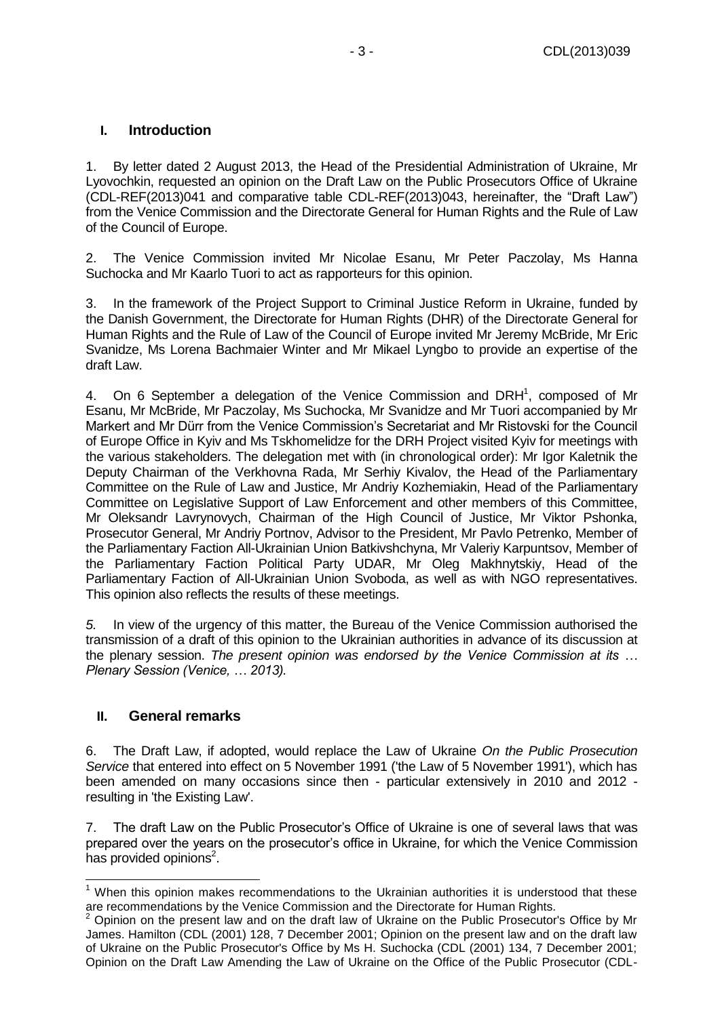## <span id="page-2-0"></span>**I. Introduction**

1. By letter dated 2 August 2013, the Head of the Presidential Administration of Ukraine, Mr Lyovochkin, requested an opinion on the Draft Law on the Public Prosecutors Office of Ukraine (CDL-REF(2013)041 and comparative table CDL-REF(2013)043, hereinafter, the "Draft Law") from the Venice Commission and the Directorate General for Human Rights and the Rule of Law of the Council of Europe.

2. The Venice Commission invited Mr Nicolae Esanu, Mr Peter Paczolay, Ms Hanna Suchocka and Mr Kaarlo Tuori to act as rapporteurs for this opinion.

3. In the framework of the Project Support to Criminal Justice Reform in Ukraine, funded by the Danish Government, the Directorate for Human Rights (DHR) of the Directorate General for Human Rights and the Rule of Law of the Council of Europe invited Mr Jeremy McBride, Mr Eric Svanidze, Ms Lorena Bachmaier Winter and Mr Mikael Lyngbo to provide an expertise of the draft Law.

4. On 6 September a delegation of the Venice Commission and DRH<sup>1</sup>, composed of Mr Esanu, Mr McBride, Mr Paczolay, Ms Suchocka, Mr Svanidze and Mr Tuori accompanied by Mr Markert and Mr Dürr from the Venice Commission's Secretariat and Mr Ristovski for the Council of Europe Office in Kyiv and Ms Tskhomelidze for the DRH Project visited Kyiv for meetings with the various stakeholders. The delegation met with (in chronological order): Mr Igor Kaletnik the Deputy Chairman of the Verkhovna Rada, Mr Serhiy Kivalov, the Head of the Parliamentary Committee on the Rule of Law and Justice, Mr Andriy Kozhemiakin, Head of the Parliamentary Committee on Legislative Support of Law Enforcement and other members of this Committee, Mr Oleksandr Lavrynovych, Chairman of the High Council of Justice, Mr Viktor Pshonka, Prosecutor General, Mr Andriy Portnov, Advisor to the President, Mr Pavlo Petrenko, Member of the Parliamentary Faction All-Ukrainian Union Batkivshchyna, Mr Valeriy Karpuntsov, Member of the Parliamentary Faction Political Party UDAR, Mr Oleg Makhnytskiy, Head of the Parliamentary Faction of All-Ukrainian Union Svoboda, as well as with NGO representatives. This opinion also reflects the results of these meetings.

*5.* In view of the urgency of this matter, the Bureau of the Venice Commission authorised the transmission of a draft of this opinion to the Ukrainian authorities in advance of its discussion at the plenary session. *The present opinion was endorsed by the Venice Commission at its … Plenary Session (Venice, … 2013).*

## <span id="page-2-1"></span>**II. General remarks**

6. The Draft Law, if adopted, would replace the Law of Ukraine *On the Public Prosecution Service* that entered into effect on 5 November 1991 ('the Law of 5 November 1991'), which has been amended on many occasions since then - particular extensively in 2010 and 2012 resulting in 'the Existing Law'.

7. The draft Law on the Public Prosecutor's Office of Ukraine is one of several laws that was prepared over the years on the prosecutor's office in Ukraine, for which the Venice Commission has provided opinions<sup>2</sup>.

 $\overline{\phantom{a}}$  $<sup>1</sup>$  When this opinion makes recommendations to the Ukrainian authorities it is understood that these</sup> are recommendations by the Venice Commission and the Directorate for Human Rights.

<sup>2</sup> Opinion on the present law and on the draft law of Ukraine on the Public Prosecutor's Office by Mr James. Hamilton (CDL (2001) 128, 7 December 2001; Opinion on the present law and on the draft law of Ukraine on the Public Prosecutor's Office by Ms H. Suchocka (CDL (2001) 134, 7 December 2001; Opinion on the Draft Law Amending the Law of Ukraine on the Office of the Public Prosecutor (CDL-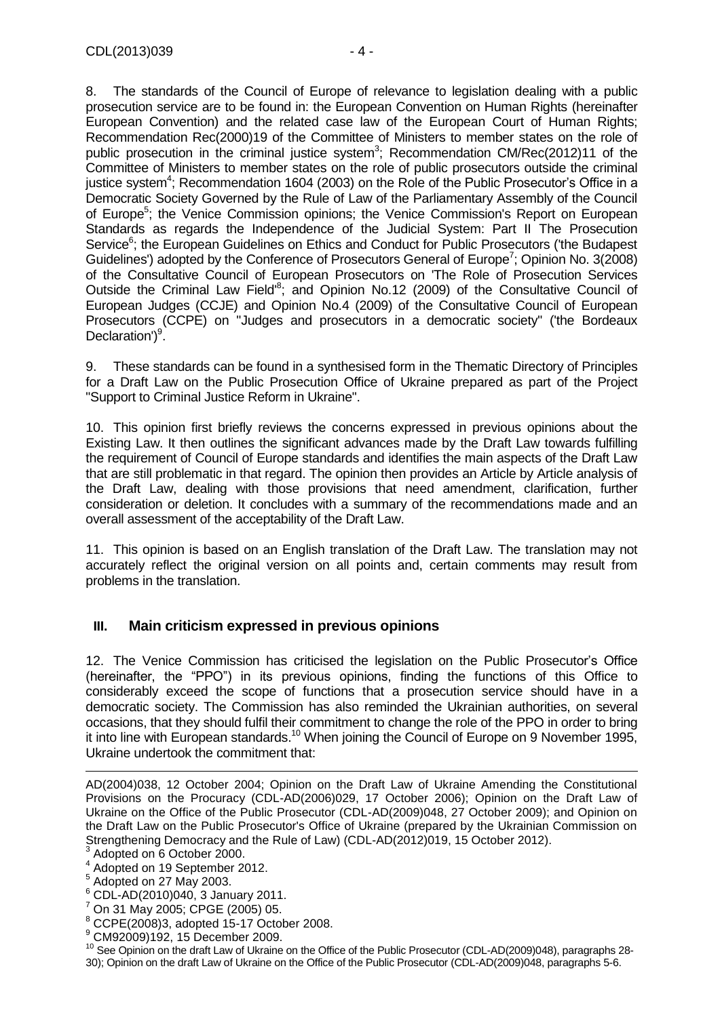8. The standards of the Council of Europe of relevance to legislation dealing with a public prosecution service are to be found in: the European Convention on Human Rights (hereinafter European Convention) and the related case law of the European Court of Human Rights; Recommendation Rec(2000)19 of the Committee of Ministers to member states on the role of public prosecution in the criminal justice system<sup>3</sup>; Recommendation CM/Rec(2012)11 of the Committee of Ministers to member states on the role of public prosecutors outside the criminal justice system<sup>4</sup>; Recommendation 1604 (2003) on the Role of the Public Prosecutor's Office in a Democratic Society Governed by the Rule of Law of the Parliamentary Assembly of the Council of Europe<sup>5</sup>; the Venice Commission opinions; the Venice Commission's Report on European Standards as regards the Independence of the Judicial System: Part II The Prosecution Service<sup>6</sup>; the European Guidelines on Ethics and Conduct for Public Prosecutors ('the Budapest Guidelines') adopted by the Conference of Prosecutors General of Europe<sup>7</sup>; Opinion No. 3(2008) of the Consultative Council of European Prosecutors on 'The Role of Prosecution Services Outside the Criminal Law Field<sup>®</sup>; and Opinion No.12 (2009) of the Consultative Council of European Judges (CCJE) and Opinion No.4 (2009) of the Consultative Council of European Prosecutors (CCPE) on "Judges and prosecutors in a democratic society" ('the Bordeaux Declaration')<sup>9</sup>.

9. These standards can be found in a synthesised form in the Thematic Directory of Principles for a Draft Law on the Public Prosecution Office of Ukraine prepared as part of the Project "Support to Criminal Justice Reform in Ukraine".

10. This opinion first briefly reviews the concerns expressed in previous opinions about the Existing Law. It then outlines the significant advances made by the Draft Law towards fulfilling the requirement of Council of Europe standards and identifies the main aspects of the Draft Law that are still problematic in that regard. The opinion then provides an Article by Article analysis of the Draft Law, dealing with those provisions that need amendment, clarification, further consideration or deletion. It concludes with a summary of the recommendations made and an overall assessment of the acceptability of the Draft Law.

11. This opinion is based on an English translation of the Draft Law. The translation may not accurately reflect the original version on all points and, certain comments may result from problems in the translation.

# <span id="page-3-0"></span>**III. Main criticism expressed in previous opinions**

12. The Venice Commission has criticised the legislation on the Public Prosecutor's Office (hereinafter, the "PPO") in its previous opinions, finding the functions of this Office to considerably exceed the scope of functions that a prosecution service should have in a democratic society. The Commission has also reminded the Ukrainian authorities, on several occasions, that they should fulfil their commitment to change the role of the PPO in order to bring it into line with European standards.<sup>10</sup> When joining the Council of Europe on 9 November 1995, Ukraine undertook the commitment that:

AD(2004)038, 12 October 2004; Opinion on the Draft Law of Ukraine Amending the Constitutional Provisions on the Procuracy (CDL-AD(2006)029, 17 October 2006); Opinion on the Draft Law of Ukraine on the Office of the Public Prosecutor (CDL-AD(2009)048, 27 October 2009); and Opinion on the Draft Law on the Public Prosecutor's Office of Ukraine (prepared by the Ukrainian Commission on Strengthening Democracy and the Rule of Law) (CDL-AD(2012)019, 15 October 2012).

<sup>3</sup> Adopted on 6 October 2000. 4

Adopted on 19 September 2012.

<sup>5</sup> Adopted on 27 May 2003.

 $6$  CDL-AD(2010)040, 3 January 2011.

<sup>7</sup> On 31 May 2005; CPGE (2005) 05.

 $^8$  CCPE(2008)3, adopted 15-17 October 2008.

<sup>9</sup> CM92009)192, 15 December 2009.

<sup>&</sup>lt;sup>10</sup> See Opinion on the draft Law of Ukraine on the Office of the Public Prosecutor (CDL-AD(2009)048), paragraphs 28-30); Opinion on the draft Law of Ukraine on the Office of the Public Prosecutor (CDL-AD(2009)048, paragraphs 5-6.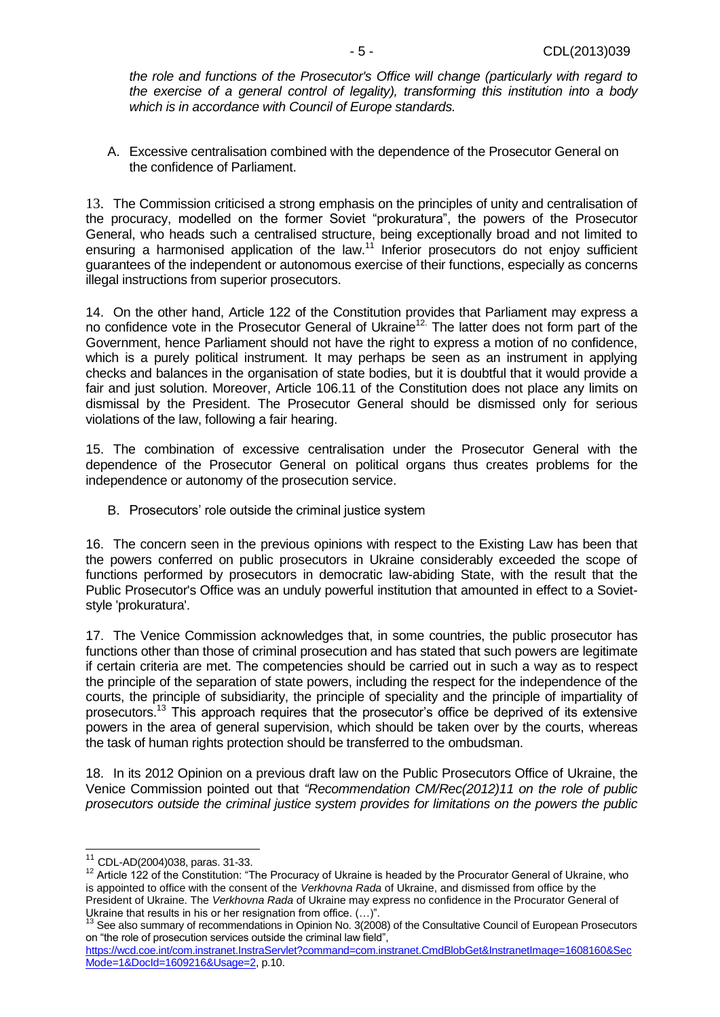*the role and functions of the Prosecutor's Office will change (particularly with regard to the exercise of a general control of legality), transforming this institution into a body which is in accordance with Council of Europe standards.*

<span id="page-4-0"></span>A. Excessive centralisation combined with the dependence of the Prosecutor General on the confidence of Parliament.

13. The Commission criticised a strong emphasis on the principles of unity and centralisation of the procuracy, modelled on the former Soviet "prokuratura", the powers of the Prosecutor General, who heads such a centralised structure, being exceptionally broad and not limited to ensuring a harmonised application of the law.<sup>11</sup> Inferior prosecutors do not enjoy sufficient guarantees of the independent or autonomous exercise of their functions, especially as concerns illegal instructions from superior prosecutors.

14. On the other hand, Article 122 of the Constitution provides that Parliament may express a no confidence vote in the Prosecutor General of Ukraine<sup>12</sup>. The latter does not form part of the Government, hence Parliament should not have the right to express a motion of no confidence, which is a purely political instrument. It may perhaps be seen as an instrument in applying checks and balances in the organisation of state bodies, but it is doubtful that it would provide a fair and just solution. Moreover, Article 106.11 of the Constitution does not place any limits on dismissal by the President. The Prosecutor General should be dismissed only for serious violations of the law, following a fair hearing.

15. The combination of excessive centralisation under the Prosecutor General with the dependence of the Prosecutor General on political organs thus creates problems for the independence or autonomy of the prosecution service.

<span id="page-4-1"></span>B. Prosecutors' role outside the criminal justice system

16. The concern seen in the previous opinions with respect to the Existing Law has been that the powers conferred on public prosecutors in Ukraine considerably exceeded the scope of functions performed by prosecutors in democratic law-abiding State, with the result that the Public Prosecutor's Office was an unduly powerful institution that amounted in effect to a Sovietstyle 'prokuratura'.

17. The Venice Commission acknowledges that, in some countries, the public prosecutor has functions other than those of criminal prosecution and has stated that such powers are legitimate if certain criteria are met. The competencies should be carried out in such a way as to respect the principle of the separation of state powers, including the respect for the independence of the courts, the principle of subsidiarity, the principle of speciality and the principle of impartiality of prosecutors.<sup>13</sup> This approach requires that the prosecutor's office be deprived of its extensive powers in the area of general supervision, which should be taken over by the courts, whereas the task of human rights protection should be transferred to the ombudsman.

18. In its 2012 Opinion on a previous draft law on the Public Prosecutors Office of Ukraine, the Venice Commission pointed out that *"Recommendation CM/Rec(2012)11 on the role of public prosecutors outside the criminal justice system provides for limitations on the powers the public* 

<sup>11</sup> CDL-AD(2004)038, paras. 31-33.

 $12$  Article 122 of the Constitution: "The Procuracy of Ukraine is headed by the Procurator General of Ukraine, who is appointed to office with the consent of the *Verkhovna Rada* of Ukraine, and dismissed from office by the President of Ukraine. The *Verkhovna Rada* of Ukraine may express no confidence in the Procurator General of Ukraine that results in his or her resignation from office. (…)".

<sup>&</sup>lt;sup>13</sup> See also summary of recommendations in Opinion No. 3(2008) of the Consultative Council of European Prosecutors on "the role of prosecution services outside the criminal law field",

[https://wcd.coe.int/com.instranet.InstraServlet?command=com.instranet.CmdBlobGet&InstranetImage=1608160&Sec](https://wcd.coe.int/com.instranet.InstraServlet?command=com.instranet.CmdBlobGet&InstranetImage=1608160&SecMode=1&DocId=1609216&Usage=2) [Mode=1&DocId=1609216&Usage=2,](https://wcd.coe.int/com.instranet.InstraServlet?command=com.instranet.CmdBlobGet&InstranetImage=1608160&SecMode=1&DocId=1609216&Usage=2) p.10.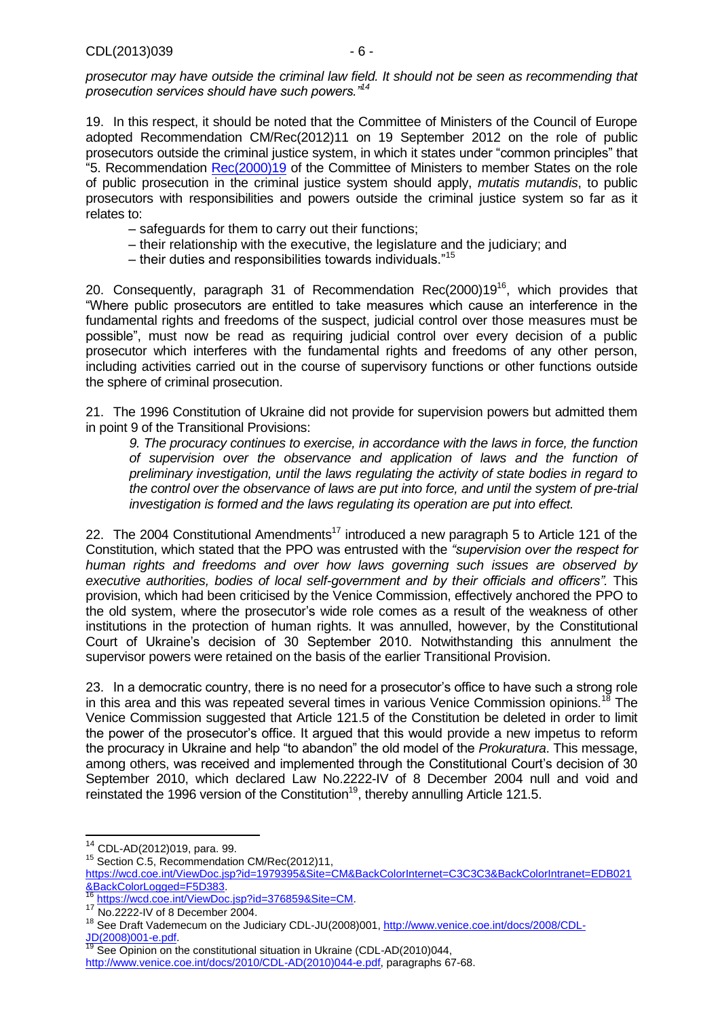*prosecutor may have outside the criminal law field. It should not be seen as recommending that prosecution services should have such powers."<sup>14</sup>*

19. In this respect, it should be noted that the Committee of Ministers of the Council of Europe adopted Recommendation CM/Rec(2012)11 on 19 September 2012 on the role of public prosecutors outside the criminal justice system, in which it states under "common principles" that "5. Recommendation [Rec\(2000\)19](https://wcd.coe.int/ViewDoc.jsp?Ref=Rec(2000)19&Language=lanEnglish&Site=CM&BackColorInternet=C3C3C3&BackColorIntranet=EDB021&BackColorLogged=F5D383) of the Committee of Ministers to member States on the role of public prosecution in the criminal justice system should apply, *mutatis mutandis*, to public prosecutors with responsibilities and powers outside the criminal justice system so far as it relates to:

- safeguards for them to carry out their functions;
- their relationship with the executive, the legislature and the judiciary; and
- their duties and responsibilities towards individuals."<sup>15</sup>

20. Consequently, paragraph 31 of Recommendation Rec(2000)19<sup>16</sup>, which provides that "Where public prosecutors are entitled to take measures which cause an interference in the fundamental rights and freedoms of the suspect, judicial control over those measures must be possible", must now be read as requiring judicial control over every decision of a public prosecutor which interferes with the fundamental rights and freedoms of any other person, including activities carried out in the course of supervisory functions or other functions outside the sphere of criminal prosecution.

21. The 1996 Constitution of Ukraine did not provide for supervision powers but admitted them in point 9 of the Transitional Provisions:

*9. The procuracy continues to exercise, in accordance with the laws in force, the function of supervision over the observance and application of laws and the function of preliminary investigation, until the laws regulating the activity of state bodies in regard to the control over the observance of laws are put into force, and until the system of pre-trial investigation is formed and the laws regulating its operation are put into effect.*

22. The 2004 Constitutional Amendments<sup>17</sup> introduced a new paragraph 5 to Article 121 of the Constitution, which stated that the PPO was entrusted with the *"supervision over the respect for human rights and freedoms and over how laws governing such issues are observed by executive authorities, bodies of local self-government and by their officials and officers".* This provision, which had been criticised by the Venice Commission, effectively anchored the PPO to the old system, where the prosecutor's wide role comes as a result of the weakness of other institutions in the protection of human rights. It was annulled, however, by the Constitutional Court of Ukraine's decision of 30 September 2010. Notwithstanding this annulment the supervisor powers were retained on the basis of the earlier Transitional Provision.

23. In a democratic country, there is no need for a prosecutor's office to have such a strong role in this area and this was repeated several times in various Venice Commission opinions.<sup>18</sup> The Venice Commission suggested that Article 121.5 of the Constitution be deleted in order to limit the power of the prosecutor's office. It argued that this would provide a new impetus to reform the procuracy in Ukraine and help "to abandon" the old model of the *Prokuratura*. This message, among others, was received and implemented through the Constitutional Court's decision of 30 September 2010, which declared Law No.2222-IV of 8 December 2004 null and void and reinstated the 1996 version of the Constitution<sup>19</sup>, thereby annulling Article 121.5.

 $\overline{\phantom{a}}$ 

<sup>15</sup> Section C.5, Recommendation CM/Rec(2012)11,

<sup>14</sup> CDL-AD(2012)019, para. 99.

[https://wcd.coe.int/ViewDoc.jsp?id=1979395&Site=CM&BackColorInternet=C3C3C3&BackColorIntranet=EDB021](https://wcd.coe.int/ViewDoc.jsp?id=1979395&Site=CM&BackColorInternet=C3C3C3&BackColorIntranet=EDB021&BackColorLogged=F5D383) [&BackColorLogged=F5D383.](https://wcd.coe.int/ViewDoc.jsp?id=1979395&Site=CM&BackColorInternet=C3C3C3&BackColorIntranet=EDB021&BackColorLogged=F5D383)

[https://wcd.coe.int/ViewDoc.jsp?id=376859&Site=CM.](https://wcd.coe.int/ViewDoc.jsp?id=376859&Site=CM)

<sup>17</sup> No.2222-IV of 8 December 2004.

<sup>&</sup>lt;sup>18</sup> See Draft Vademecum on the Judiciary CDL-JU(2008)001, [http://www.venice.coe.int/docs/2008/CDL-](http://www.venice.coe.int/docs/2008/CDL-JD(2008)001-e.pdf)[JD\(2008\)001-e.pdf.](http://www.venice.coe.int/docs/2008/CDL-JD(2008)001-e.pdf)

<sup>19</sup> See Opinion on the constitutional situation in Ukraine (CDL-AD(2010)044, [http://www.venice.coe.int/docs/2010/CDL-AD\(2010\)044-e.pdf,](http://www.venice.coe.int/docs/2010/CDL-AD(2010)044-e.pdf) paragraphs 67-68.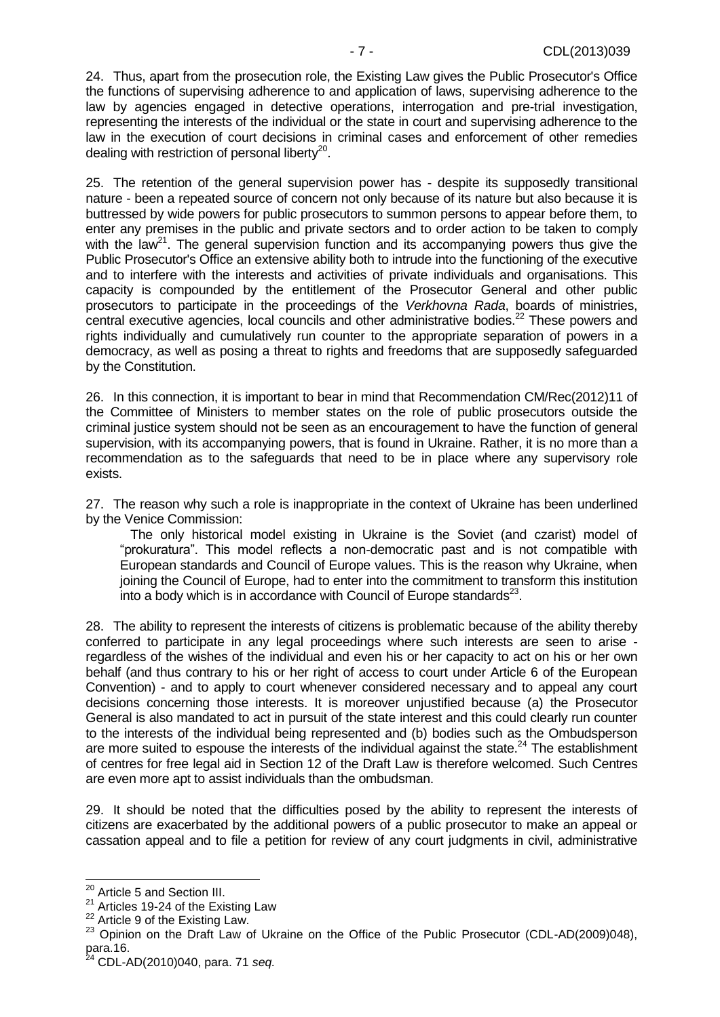24. Thus, apart from the prosecution role, the Existing Law gives the Public Prosecutor's Office the functions of supervising adherence to and application of laws, supervising adherence to the law by agencies engaged in detective operations, interrogation and pre-trial investigation, representing the interests of the individual or the state in court and supervising adherence to the law in the execution of court decisions in criminal cases and enforcement of other remedies dealing with restriction of personal liberty<sup>20</sup>.

<span id="page-6-2"></span>25. The retention of the general supervision power has - despite its supposedly transitional nature - been a repeated source of concern not only because of its nature but also because it is buttressed by wide powers for public prosecutors to summon persons to appear before them, to enter any premises in the public and private sectors and to order action to be taken to comply with the law<sup>21</sup>. The general supervision function and its accompanying powers thus give the Public Prosecutor's Office an extensive ability both to intrude into the functioning of the executive and to interfere with the interests and activities of private individuals and organisations. This capacity is compounded by the entitlement of the Prosecutor General and other public prosecutors to participate in the proceedings of the *Verkhovna Rada*, boards of ministries, central executive agencies, local councils and other administrative bodies.<sup>22</sup> These powers and rights individually and cumulatively run counter to the appropriate separation of powers in a democracy, as well as posing a threat to rights and freedoms that are supposedly safeguarded by the Constitution.

26. In this connection, it is important to bear in mind that Recommendation CM/Rec(2012)11 of the Committee of Ministers to member states on the role of public prosecutors outside the criminal justice system should not be seen as an encouragement to have the function of general supervision, with its accompanying powers, that is found in Ukraine. Rather, it is no more than a recommendation as to the safeguards that need to be in place where any supervisory role exists.

<span id="page-6-3"></span>27. The reason why such a role is inappropriate in the context of Ukraine has been underlined by the Venice Commission:

The only historical model existing in Ukraine is the Soviet (and czarist) model of "prokuratura". This model reflects a non-democratic past and is not compatible with European standards and Council of Europe values. This is the reason why Ukraine, when joining the Council of Europe, had to enter into the commitment to transform this institution into a body which is in accordance with Council of Europe standards $^{23}$ .

<span id="page-6-0"></span>28. The ability to represent the interests of citizens is problematic because of the ability thereby conferred to participate in any legal proceedings where such interests are seen to arise regardless of the wishes of the individual and even his or her capacity to act on his or her own behalf (and thus contrary to his or her right of access to court under Article 6 of the European Convention) - and to apply to court whenever considered necessary and to appeal any court decisions concerning those interests. It is moreover unjustified because (a) the Prosecutor General is also mandated to act in pursuit of the state interest and this could clearly run counter to the interests of the individual being represented and (b) bodies such as the Ombudsperson are more suited to espouse the interests of the individual against the state.<sup>24</sup> The establishment of centres for free legal aid in Section 12 of the Draft Law is therefore welcomed. Such Centres are even more apt to assist individuals than the ombudsman.

<span id="page-6-1"></span>29. It should be noted that the difficulties posed by the ability to represent the interests of citizens are exacerbated by the additional powers of a public prosecutor to make an appeal or cassation appeal and to file a petition for review of any court judgments in civil, administrative

 $\overline{\phantom{a}}$ <sup>20</sup> Article 5 and Section III.

<sup>&</sup>lt;sup>21</sup> Articles 19-24 of the Existing Law

 $22$  Article 9 of the Existing Law.

<sup>&</sup>lt;sup>23</sup> Opinion on the Draft Law of Ukraine on the Office of the Public Prosecutor (CDL-AD(2009)048),  $para.16.$ <sup>24</sup>

<sup>24</sup> CDL-AD(2010)040, para. 71 *seq.*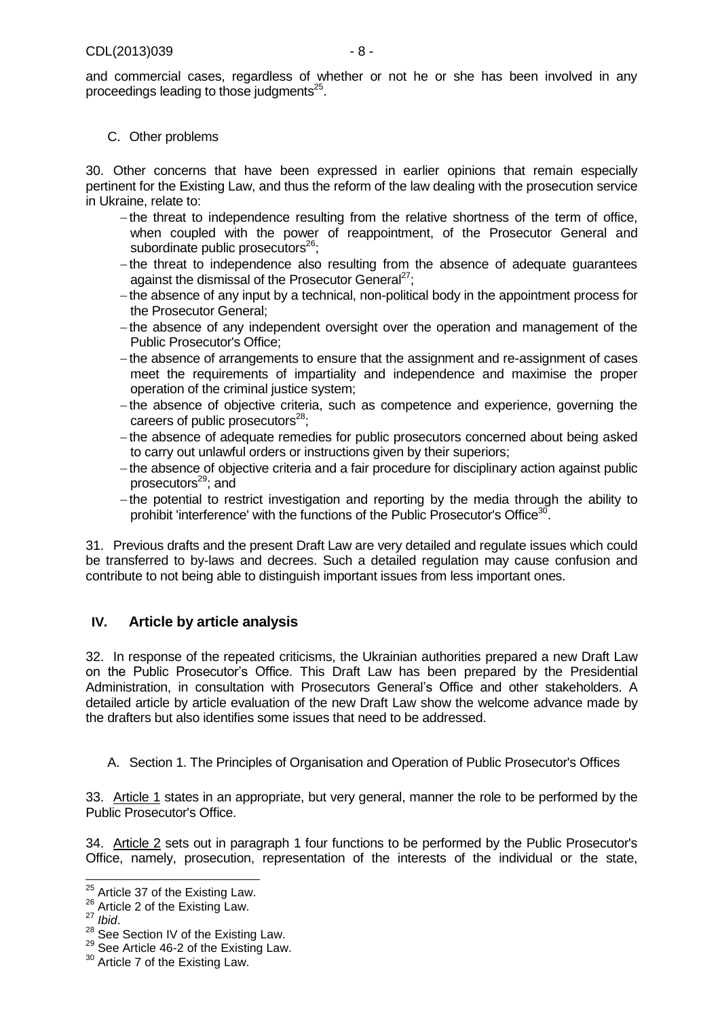and commercial cases, regardless of whether or not he or she has been involved in any proceedings leading to those judgments<sup>25</sup>.

## <span id="page-7-0"></span>C. Other problems

<span id="page-7-4"></span>30. Other concerns that have been expressed in earlier opinions that remain especially pertinent for the Existing Law, and thus the reform of the law dealing with the prosecution service in Ukraine, relate to:

- $-$ the threat to independence resulting from the relative shortness of the term of office, when coupled with the power of reappointment, of the Prosecutor General and subordinate public prosecutors<sup>26</sup>;
- the threat to independence also resulting from the absence of adequate guarantees against the dismissal of the Prosecutor General<sup>27</sup>;
- the absence of any input by a technical, non-political body in the appointment process for the Prosecutor General;
- the absence of any independent oversight over the operation and management of the Public Prosecutor's Office;
- the absence of arrangements to ensure that the assignment and re-assignment of cases meet the requirements of impartiality and independence and maximise the proper operation of the criminal justice system;
- -the absence of objective criteria, such as competence and experience, governing the careers of public prosecutors $28$ ;
- the absence of adequate remedies for public prosecutors concerned about being asked to carry out unlawful orders or instructions given by their superiors;
- the absence of objective criteria and a fair procedure for disciplinary action against public prosecutors<sup>29</sup>; and
- the potential to restrict investigation and reporting by the media through the ability to prohibit 'interference' with the functions of the Public Prosecutor's Office<sup>30</sup> .

31. Previous drafts and the present Draft Law are very detailed and regulate issues which could be transferred to by-laws and decrees. Such a detailed regulation may cause confusion and contribute to not being able to distinguish important issues from less important ones.

# <span id="page-7-1"></span>**IV. Article by article analysis**

32. In response of the repeated criticisms, the Ukrainian authorities prepared a new Draft Law on the Public Prosecutor's Office. This Draft Law has been prepared by the Presidential Administration, in consultation with Prosecutors General's Office and other stakeholders. A detailed article by article evaluation of the new Draft Law show the welcome advance made by the drafters but also identifies some issues that need to be addressed.

<span id="page-7-2"></span>A. Section 1. The Principles of Organisation and Operation of Public Prosecutor's Offices

33. Article 1 states in an appropriate, but very general, manner the role to be performed by the Public Prosecutor's Office.

<span id="page-7-3"></span>34. Article 2 sets out in paragraph 1 four functions to be performed by the Public Prosecutor's Office, namely, prosecution, representation of the interests of the individual or the state,

 $\overline{\phantom{a}}$  $25$  Article 37 of the Existing Law.

<sup>&</sup>lt;sup>26</sup> Article 2 of the Existing Law.

<sup>27</sup> *Ibid*.

<sup>&</sup>lt;sup>28</sup> See Section IV of the Existing Law.

<sup>&</sup>lt;sup>29</sup> See Article 46-2 of the Existing Law.

<sup>&</sup>lt;sup>30</sup> Article 7 of the Existing Law.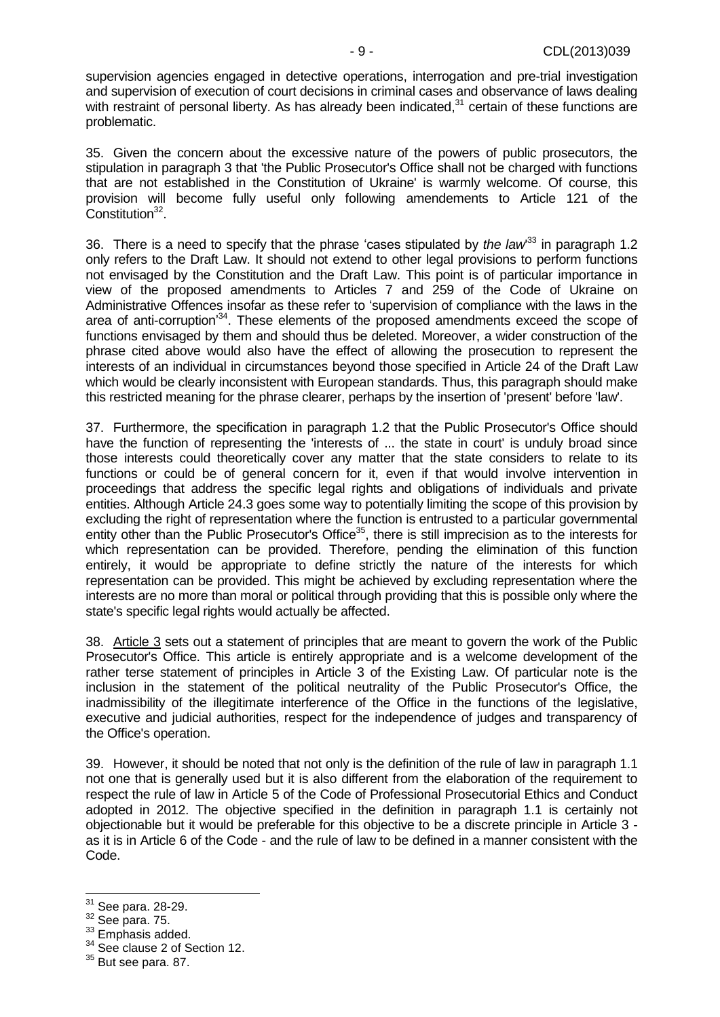supervision agencies engaged in detective operations, interrogation and pre-trial investigation and supervision of execution of court decisions in criminal cases and observance of laws dealing with restraint of personal liberty. As has already been indicated, $31$  certain of these functions are problematic.

35. Given the concern about the excessive nature of the powers of public prosecutors, the stipulation in paragraph 3 that 'the Public Prosecutor's Office shall not be charged with functions that are not established in the Constitution of Ukraine' is warmly welcome. Of course, this provision will become fully useful only following amendements to Article 121 of the Constitution<sup>32</sup>.

<span id="page-8-0"></span>36. There is a need to specify that the phrase 'cases stipulated by *the law*<sup>33</sup> in paragraph 1.2 only refers to the Draft Law. It should not extend to other legal provisions to perform functions not envisaged by the Constitution and the Draft Law. This point is of particular importance in view of the proposed amendments to Articles 7 and 259 of the Code of Ukraine on Administrative Offences insofar as these refer to 'supervision of compliance with the laws in the area of anti-corruption<sup>34</sup>. These elements of the proposed amendments exceed the scope of functions envisaged by them and should thus be deleted. Moreover, a wider construction of the phrase cited above would also have the effect of allowing the prosecution to represent the interests of an individual in circumstances beyond those specified in Article 24 of the Draft Law which would be clearly inconsistent with European standards. Thus, this paragraph should make this restricted meaning for the phrase clearer, perhaps by the insertion of 'present' before 'law'.

<span id="page-8-1"></span>37. Furthermore, the specification in paragraph 1.2 that the Public Prosecutor's Office should have the function of representing the 'interests of ... the state in court' is unduly broad since those interests could theoretically cover any matter that the state considers to relate to its functions or could be of general concern for it, even if that would involve intervention in proceedings that address the specific legal rights and obligations of individuals and private entities. Although Article 24.3 goes some way to potentially limiting the scope of this provision by excluding the right of representation where the function is entrusted to a particular governmental entity other than the Public Prosecutor's Office<sup>35</sup>, there is still imprecision as to the interests for which representation can be provided. Therefore, pending the elimination of this function entirely, it would be appropriate to define strictly the nature of the interests for which representation can be provided. This might be achieved by excluding representation where the interests are no more than moral or political through providing that this is possible only where the state's specific legal rights would actually be affected.

<span id="page-8-2"></span>38. Article 3 sets out a statement of principles that are meant to govern the work of the Public Prosecutor's Office. This article is entirely appropriate and is a welcome development of the rather terse statement of principles in Article 3 of the Existing Law. Of particular note is the inclusion in the statement of the political neutrality of the Public Prosecutor's Office, the inadmissibility of the illegitimate interference of the Office in the functions of the legislative, executive and judicial authorities, respect for the independence of judges and transparency of the Office's operation.

39. However, it should be noted that not only is the definition of the rule of law in paragraph 1.1 not one that is generally used but it is also different from the elaboration of the requirement to respect the rule of law in Article 5 of the Code of Professional Prosecutorial Ethics and Conduct adopted in 2012. The objective specified in the definition in paragraph 1.1 is certainly not objectionable but it would be preferable for this objective to be a discrete principle in Article 3 as it is in Article 6 of the Code - and the rule of law to be defined in a manner consistent with the Code.

<sup>&</sup>lt;sup>31</sup> See para. [28](#page-6-0)[-29.](#page-6-1)

 $32$  See para. [75.](#page-13-1)

<sup>&</sup>lt;sup>33</sup> Emphasis added.

<sup>&</sup>lt;sup>34</sup> See clause 2 of Section 12.

 $35$  But see para. [87.](#page-15-0)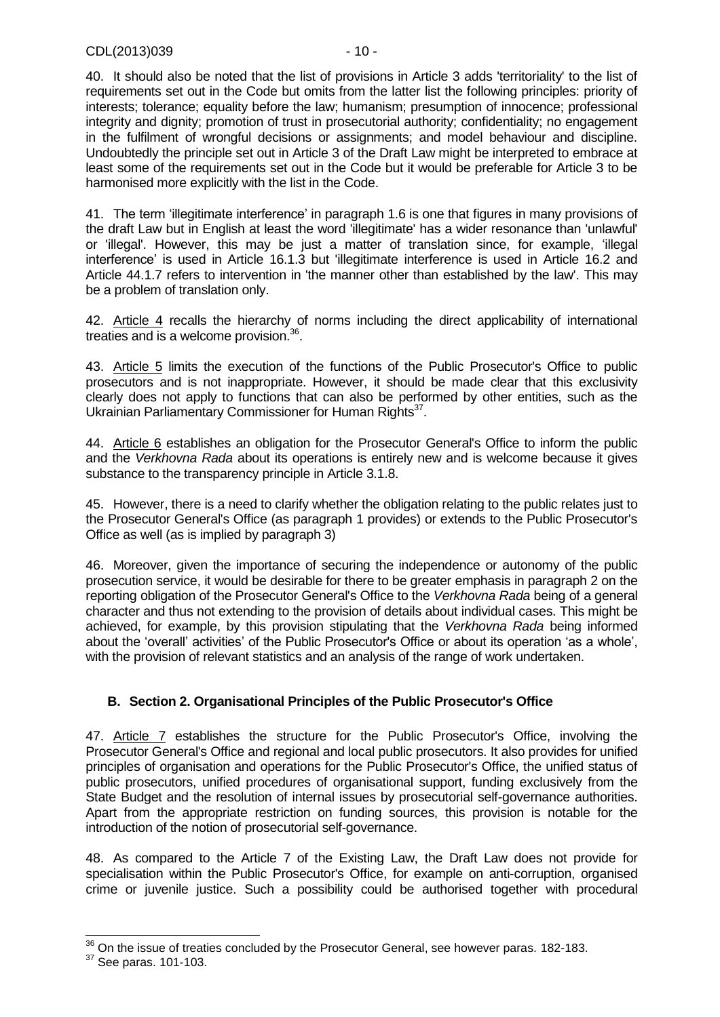40. It should also be noted that the list of provisions in Article 3 adds 'territoriality' to the list of requirements set out in the Code but omits from the latter list the following principles: priority of interests; tolerance; equality before the law; humanism; presumption of innocence; professional integrity and dignity; promotion of trust in prosecutorial authority; confidentiality; no engagement in the fulfilment of wrongful decisions or assignments; and model behaviour and discipline. Undoubtedly the principle set out in Article 3 of the Draft Law might be interpreted to embrace at least some of the requirements set out in the Code but it would be preferable for Article 3 to be harmonised more explicitly with the list in the Code.

<span id="page-9-1"></span>41. The term 'illegitimate interference' in paragraph 1.6 is one that figures in many provisions of the draft Law but in English at least the word 'illegitimate' has a wider resonance than 'unlawful' or 'illegal'. However, this may be just a matter of translation since, for example, 'illegal interference' is used in Article 16.1.3 but 'illegitimate interference is used in Article 16.2 and Article 44.1.7 refers to intervention in 'the manner other than established by the law'. This may be a problem of translation only.

42. Article 4 recalls the hierarchy of norms including the direct applicability of international treaties and is a welcome provision.<sup>36</sup>.

43. Article 5 limits the execution of the functions of the Public Prosecutor's Office to public prosecutors and is not inappropriate. However, it should be made clear that this exclusivity clearly does not apply to functions that can also be performed by other entities, such as the Ukrainian Parliamentary Commissioner for Human Rights<sup>37</sup>.

44. Article 6 establishes an obligation for the Prosecutor General's Office to inform the public and the *Verkhovna Rada* about its operations is entirely new and is welcome because it gives substance to the transparency principle in Article 3.1.8.

45. However, there is a need to clarify whether the obligation relating to the public relates just to the Prosecutor General's Office (as paragraph 1 provides) or extends to the Public Prosecutor's Office as well (as is implied by paragraph 3)

46. Moreover, given the importance of securing the independence or autonomy of the public prosecution service, it would be desirable for there to be greater emphasis in paragraph 2 on the reporting obligation of the Prosecutor General's Office to the *Verkhovna Rada* being of a general character and thus not extending to the provision of details about individual cases. This might be achieved, for example, by this provision stipulating that the *Verkhovna Rada* being informed about the 'overall' activities' of the Public Prosecutor's Office or about its operation 'as a whole', with the provision of relevant statistics and an analysis of the range of work undertaken.

# <span id="page-9-0"></span>**B. Section 2. Organisational Principles of the Public Prosecutor's Office**

47. Article 7 establishes the structure for the Public Prosecutor's Office, involving the Prosecutor General's Office and regional and local public prosecutors. It also provides for unified principles of organisation and operations for the Public Prosecutor's Office, the unified status of public prosecutors, unified procedures of organisational support, funding exclusively from the State Budget and the resolution of internal issues by prosecutorial self-governance authorities. Apart from the appropriate restriction on funding sources, this provision is notable for the introduction of the notion of prosecutorial self-governance.

48. As compared to the Article 7 of the Existing Law, the Draft Law does not provide for specialisation within the Public Prosecutor's Office, for example on anti-corruption, organised crime or juvenile justice. Such a possibility could be authorised together with procedural

 $36$  On the issue of treaties concluded by the Prosecutor General, see however paras. [182-](#page-27-3)[183.](#page-28-2)

<sup>37</sup> See paras. [101-](#page-17-0)[103.](#page-17-1)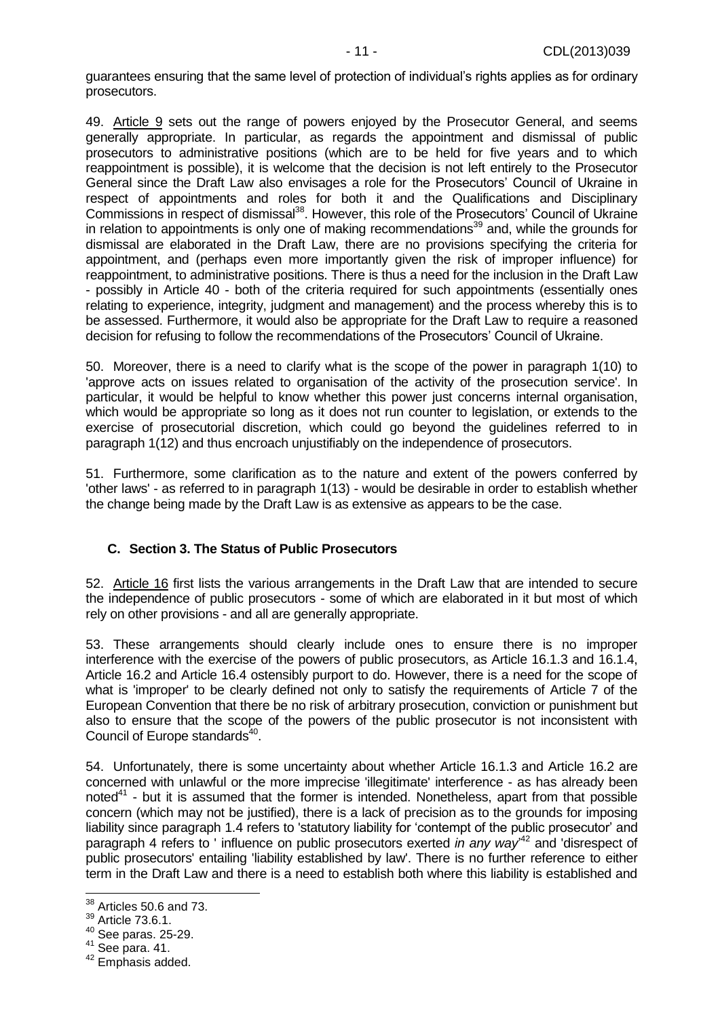guarantees ensuring that the same level of protection of individual's rights applies as for ordinary prosecutors.

<span id="page-10-1"></span>49. Article 9 sets out the range of powers enjoyed by the Prosecutor General, and seems generally appropriate. In particular, as regards the appointment and dismissal of public prosecutors to administrative positions (which are to be held for five years and to which reappointment is possible), it is welcome that the decision is not left entirely to the Prosecutor General since the Draft Law also envisages a role for the Prosecutors' Council of Ukraine in respect of appointments and roles for both it and the Qualifications and Disciplinary Commissions in respect of dismissal<sup>38</sup>. However, this role of the Prosecutors' Council of Ukraine in relation to appointments is only one of making recommendations<sup>39</sup> and, while the grounds for dismissal are elaborated in the Draft Law, there are no provisions specifying the criteria for appointment, and (perhaps even more importantly given the risk of improper influence) for reappointment, to administrative positions. There is thus a need for the inclusion in the Draft Law - possibly in Article 40 - both of the criteria required for such appointments (essentially ones relating to experience, integrity, judgment and management) and the process whereby this is to be assessed. Furthermore, it would also be appropriate for the Draft Law to require a reasoned decision for refusing to follow the recommendations of the Prosecutors' Council of Ukraine.

50. Moreover, there is a need to clarify what is the scope of the power in paragraph 1(10) to 'approve acts on issues related to organisation of the activity of the prosecution service'. In particular, it would be helpful to know whether this power just concerns internal organisation, which would be appropriate so long as it does not run counter to legislation, or extends to the exercise of prosecutorial discretion, which could go beyond the guidelines referred to in paragraph 1(12) and thus encroach unjustifiably on the independence of prosecutors.

51. Furthermore, some clarification as to the nature and extent of the powers conferred by 'other laws' - as referred to in paragraph 1(13) - would be desirable in order to establish whether the change being made by the Draft Law is as extensive as appears to be the case.

## <span id="page-10-0"></span>**C. Section 3. The Status of Public Prosecutors**

52. Article 16 first lists the various arrangements in the Draft Law that are intended to secure the independence of public prosecutors - some of which are elaborated in it but most of which rely on other provisions - and all are generally appropriate.

<span id="page-10-2"></span>53. These arrangements should clearly include ones to ensure there is no improper interference with the exercise of the powers of public prosecutors, as Article 16.1.3 and 16.1.4, Article 16.2 and Article 16.4 ostensibly purport to do. However, there is a need for the scope of what is 'improper' to be clearly defined not only to satisfy the requirements of Article 7 of the European Convention that there be no risk of arbitrary prosecution, conviction or punishment but also to ensure that the scope of the powers of the public prosecutor is not inconsistent with Council of Europe standards<sup>40</sup>.

<span id="page-10-3"></span>54. Unfortunately, there is some uncertainty about whether Article 16.1.3 and Article 16.2 are concerned with unlawful or the more imprecise 'illegitimate' interference - as has already been noted<sup>41</sup> - but it is assumed that the former is intended. Nonetheless, apart from that possible concern (which may not be justified), there is a lack of precision as to the grounds for imposing liability since paragraph 1.4 refers to 'statutory liability for 'contempt of the public prosecutor' and paragraph 4 refers to ' influence on public prosecutors exerted *in any way*' <sup>42</sup> and 'disrespect of public prosecutors' entailing 'liability established by law'. There is no further reference to either term in the Draft Law and there is a need to establish both where this liability is established and

 $38$  Articles 50.6 and 73.

<sup>39</sup> Article 73.6.1.

<sup>40</sup> See paras. [25](#page-6-2)[-29.](#page-6-1)

 $41$  See para. [41.](#page-9-1)

<sup>42</sup> Emphasis added.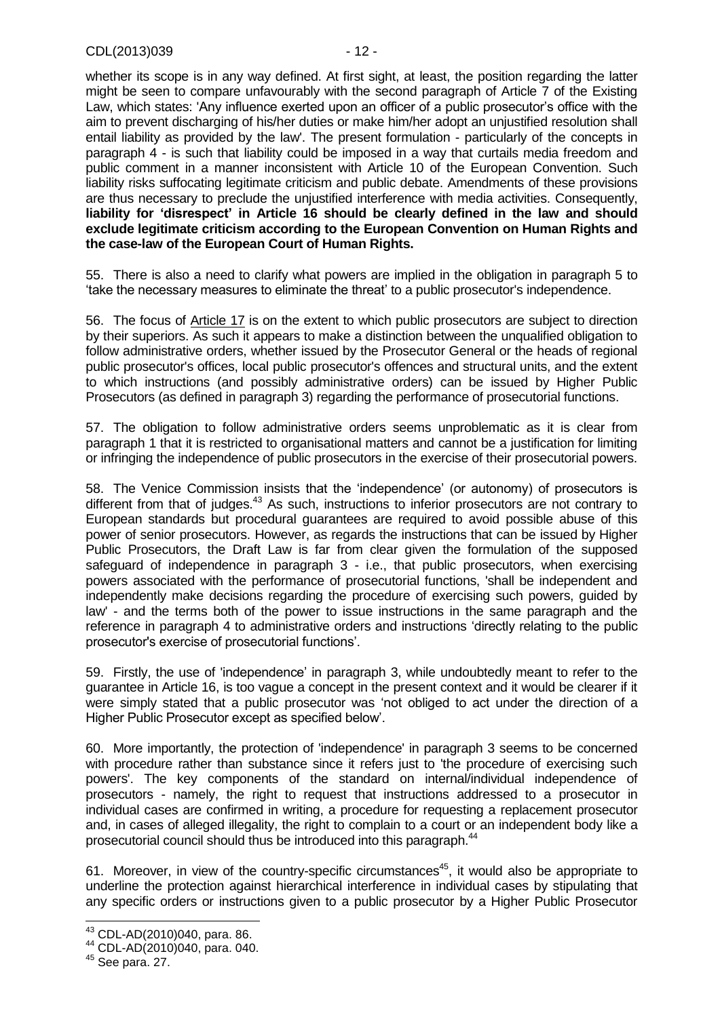whether its scope is in any way defined. At first sight, at least, the position regarding the latter might be seen to compare unfavourably with the second paragraph of Article 7 of the Existing Law, which states: 'Any influence exerted upon an officer of a public prosecutor's office with the aim to prevent discharging of his/her duties or make him/her adopt an unjustified resolution shall entail liability as provided by the law'. The present formulation - particularly of the concepts in paragraph 4 - is such that liability could be imposed in a way that curtails media freedom and public comment in a manner inconsistent with Article 10 of the European Convention. Such liability risks suffocating legitimate criticism and public debate. Amendments of these provisions are thus necessary to preclude the unjustified interference with media activities. Consequently, **liability for 'disrespect' in Article 16 should be clearly defined in the law and should exclude legitimate criticism according to the European Convention on Human Rights and the case-law of the European Court of Human Rights.**

55. There is also a need to clarify what powers are implied in the obligation in paragraph 5 to 'take the necessary measures to eliminate the threat' to a public prosecutor's independence.

56. The focus of Article 17 is on the extent to which public prosecutors are subject to direction by their superiors. As such it appears to make a distinction between the unqualified obligation to follow administrative orders, whether issued by the Prosecutor General or the heads of regional public prosecutor's offices, local public prosecutor's offences and structural units, and the extent to which instructions (and possibly administrative orders) can be issued by Higher Public Prosecutors (as defined in paragraph 3) regarding the performance of prosecutorial functions.

57. The obligation to follow administrative orders seems unproblematic as it is clear from paragraph 1 that it is restricted to organisational matters and cannot be a justification for limiting or infringing the independence of public prosecutors in the exercise of their prosecutorial powers.

58. The Venice Commission insists that the 'independence' (or autonomy) of prosecutors is different from that of judges.<sup>43</sup> As such, instructions to inferior prosecutors are not contrary to European standards but procedural guarantees are required to avoid possible abuse of this power of senior prosecutors. However, as regards the instructions that can be issued by Higher Public Prosecutors, the Draft Law is far from clear given the formulation of the supposed safeguard of independence in paragraph 3 - i.e., that public prosecutors, when exercising powers associated with the performance of prosecutorial functions, 'shall be independent and independently make decisions regarding the procedure of exercising such powers, guided by law' - and the terms both of the power to issue instructions in the same paragraph and the reference in paragraph 4 to administrative orders and instructions 'directly relating to the public prosecutor's exercise of prosecutorial functions'.

59. Firstly, the use of 'independence' in paragraph 3, while undoubtedly meant to refer to the guarantee in Article 16, is too vague a concept in the present context and it would be clearer if it were simply stated that a public prosecutor was 'not obliged to act under the direction of a Higher Public Prosecutor except as specified below'.

60. More importantly, the protection of 'independence' in paragraph 3 seems to be concerned with procedure rather than substance since it refers just to 'the procedure of exercising such powers'. The key components of the standard on internal/individual independence of prosecutors - namely, the right to request that instructions addressed to a prosecutor in individual cases are confirmed in writing, a procedure for requesting a replacement prosecutor and, in cases of alleged illegality, the right to complain to a court or an independent body like a prosecutorial council should thus be introduced into this paragraph.<sup>44</sup>

61. Moreover, in view of the country-specific circumstances<sup>45</sup>, it would also be appropriate to underline the protection against hierarchical interference in individual cases by stipulating that any specific orders or instructions given to a public prosecutor by a Higher Public Prosecutor

 $\overline{a}$ 

 $43$  CDL-AD(2010)040, para. 86.

<sup>44</sup> CDL-AD(2010)040, para. 040.

 $45$  See para. [27.](#page-6-3)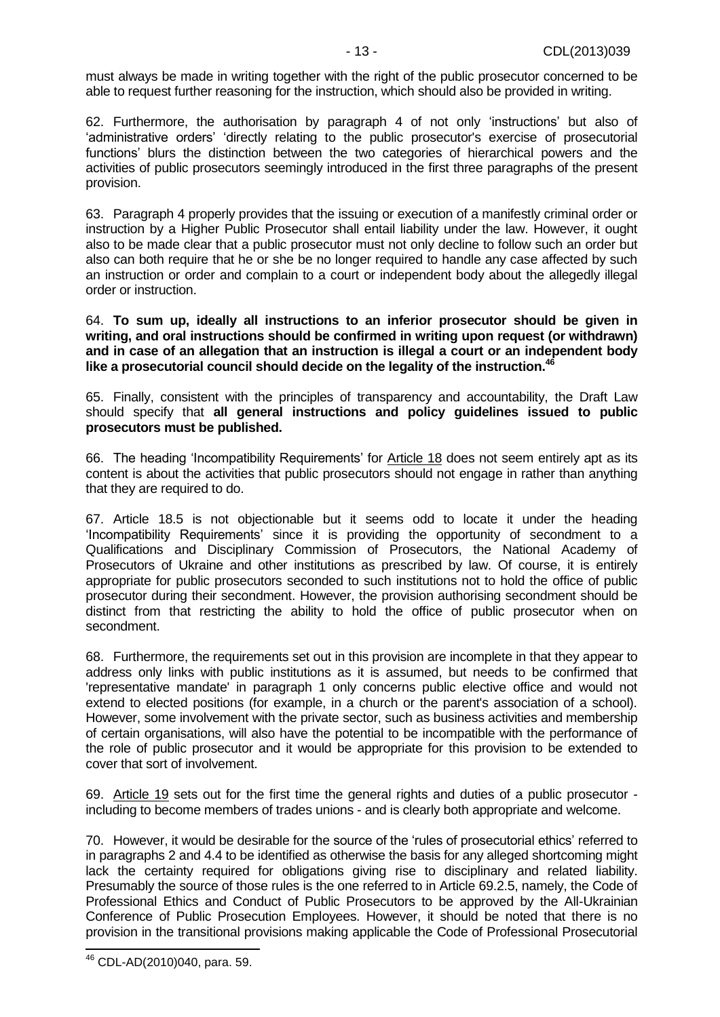must always be made in writing together with the right of the public prosecutor concerned to be able to request further reasoning for the instruction, which should also be provided in writing.

62. Furthermore, the authorisation by paragraph 4 of not only 'instructions' but also of 'administrative orders' 'directly relating to the public prosecutor's exercise of prosecutorial functions' blurs the distinction between the two categories of hierarchical powers and the activities of public prosecutors seemingly introduced in the first three paragraphs of the present provision.

63. Paragraph 4 properly provides that the issuing or execution of a manifestly criminal order or instruction by a Higher Public Prosecutor shall entail liability under the law. However, it ought also to be made clear that a public prosecutor must not only decline to follow such an order but also can both require that he or she be no longer required to handle any case affected by such an instruction or order and complain to a court or independent body about the allegedly illegal order or instruction.

64. **To sum up, ideally all instructions to an inferior prosecutor should be given in writing, and oral instructions should be confirmed in writing upon request (or withdrawn) and in case of an allegation that an instruction is illegal a court or an independent body like a prosecutorial council should decide on the legality of the instruction.<sup>46</sup>**

65. Finally, consistent with the principles of transparency and accountability, the Draft Law should specify that **all general instructions and policy guidelines issued to public prosecutors must be published.**

66. The heading 'Incompatibility Requirements' for Article 18 does not seem entirely apt as its content is about the activities that public prosecutors should not engage in rather than anything that they are required to do.

67. Article 18.5 is not objectionable but it seems odd to locate it under the heading 'Incompatibility Requirements' since it is providing the opportunity of secondment to a Qualifications and Disciplinary Commission of Prosecutors, the National Academy of Prosecutors of Ukraine and other institutions as prescribed by law. Of course, it is entirely appropriate for public prosecutors seconded to such institutions not to hold the office of public prosecutor during their secondment. However, the provision authorising secondment should be distinct from that restricting the ability to hold the office of public prosecutor when on secondment.

68. Furthermore, the requirements set out in this provision are incomplete in that they appear to address only links with public institutions as it is assumed, but needs to be confirmed that 'representative mandate' in paragraph 1 only concerns public elective office and would not extend to elected positions (for example, in a church or the parent's association of a school). However, some involvement with the private sector, such as business activities and membership of certain organisations, will also have the potential to be incompatible with the performance of the role of public prosecutor and it would be appropriate for this provision to be extended to cover that sort of involvement.

69. Article 19 sets out for the first time the general rights and duties of a public prosecutor including to become members of trades unions - and is clearly both appropriate and welcome.

70. However, it would be desirable for the source of the 'rules of prosecutorial ethics' referred to in paragraphs 2 and 4.4 to be identified as otherwise the basis for any alleged shortcoming might lack the certainty required for obligations giving rise to disciplinary and related liability. Presumably the source of those rules is the one referred to in Article 69.2.5, namely, the Code of Professional Ethics and Conduct of Public Prosecutors to be approved by the All-Ukrainian Conference of Public Prosecution Employees. However, it should be noted that there is no provision in the transitional provisions making applicable the Code of Professional Prosecutorial

 <sup>46</sup> CDL-AD(2010)040, para. 59.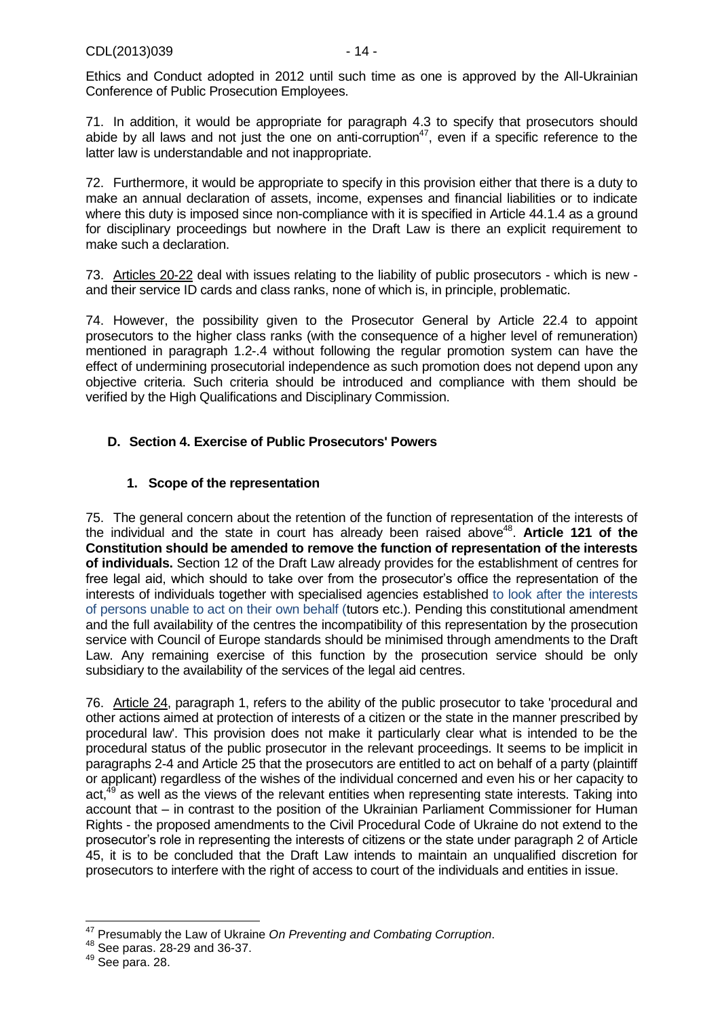71. In addition, it would be appropriate for paragraph 4.3 to specify that prosecutors should abide by all laws and not just the one on anti-corruption<sup>47</sup>, even if a specific reference to the latter law is understandable and not inappropriate.

72. Furthermore, it would be appropriate to specify in this provision either that there is a duty to make an annual declaration of assets, income, expenses and financial liabilities or to indicate where this duty is imposed since non-compliance with it is specified in Article 44.1.4 as a ground for disciplinary proceedings but nowhere in the Draft Law is there an explicit requirement to make such a declaration.

73. Articles 20-22 deal with issues relating to the liability of public prosecutors - which is new and their service ID cards and class ranks, none of which is, in principle, problematic.

74. However, the possibility given to the Prosecutor General by Article 22.4 to appoint prosecutors to the higher class ranks (with the consequence of a higher level of remuneration) mentioned in paragraph 1.2-.4 without following the regular promotion system can have the effect of undermining prosecutorial independence as such promotion does not depend upon any objective criteria. Such criteria should be introduced and compliance with them should be verified by the High Qualifications and Disciplinary Commission.

# <span id="page-13-0"></span>**D. Section 4. Exercise of Public Prosecutors' Powers**

## **1. Scope of the representation**

<span id="page-13-1"></span>75. The general concern about the retention of the function of representation of the interests of the individual and the state in court has already been raised above<sup>48</sup>. Article 121 of the **Constitution should be amended to remove the function of representation of the interests of individuals.** Section 12 of the Draft Law already provides for the establishment of centres for free legal aid, which should to take over from the prosecutor's office the representation of the interests of individuals together with specialised agencies established to look after the interests of persons unable to act on their own behalf (tutors etc.). Pending this constitutional amendment and the full availability of the centres the incompatibility of this representation by the prosecution service with Council of Europe standards should be minimised through amendments to the Draft Law. Any remaining exercise of this function by the prosecution service should be only subsidiary to the availability of the services of the legal aid centres.

76. Article 24, paragraph 1, refers to the ability of the public prosecutor to take 'procedural and other actions aimed at protection of interests of a citizen or the state in the manner prescribed by procedural law'. This provision does not make it particularly clear what is intended to be the procedural status of the public prosecutor in the relevant proceedings. It seems to be implicit in paragraphs 2-4 and Article 25 that the prosecutors are entitled to act on behalf of a party (plaintiff or applicant) regardless of the wishes of the individual concerned and even his or her capacity to act,<sup>49</sup> as well as the views of the relevant entities when representing state interests. Taking into account that – in contrast to the position of the Ukrainian Parliament Commissioner for Human Rights - the proposed amendments to the Civil Procedural Code of Ukraine do not extend to the prosecutor's role in representing the interests of citizens or the state under paragraph 2 of Article 45, it is to be concluded that the Draft Law intends to maintain an unqualified discretion for prosecutors to interfere with the right of access to court of the individuals and entities in issue.

 $\overline{\phantom{a}}$ <sup>47</sup> Presumably the Law of Ukraine *On Preventing and Combating Corruption*.

<sup>48</sup> See paras. [28](#page-6-0)[-29](#page-6-1) and [36](#page-8-0)[-37.](#page-8-1)

 $49$  See para. 28.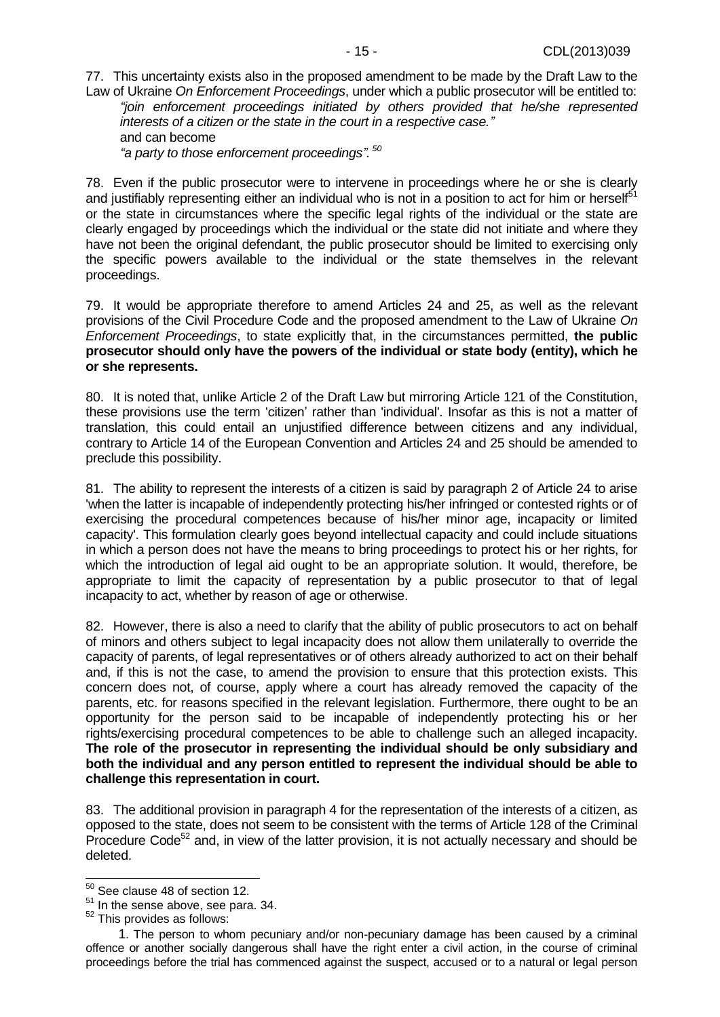77. This uncertainty exists also in the proposed amendment to be made by the Draft Law to the Law of Ukraine *On Enforcement Proceedings*, under which a public prosecutor will be entitled to:

*"join enforcement proceedings initiated by others provided that he/she represented interests of a citizen or the state in the court in a respective case."* and can become *"a party to those enforcement proceedings". 50*

<span id="page-14-0"></span>78. Even if the public prosecutor were to intervene in proceedings where he or she is clearly and justifiably representing either an individual who is not in a position to act for him or herself<sup>51</sup> or the state in circumstances where the specific legal rights of the individual or the state are clearly engaged by proceedings which the individual or the state did not initiate and where they have not been the original defendant, the public prosecutor should be limited to exercising only the specific powers available to the individual or the state themselves in the relevant proceedings.

<span id="page-14-1"></span>79. It would be appropriate therefore to amend Articles 24 and 25, as well as the relevant provisions of the Civil Procedure Code and the proposed amendment to the Law of Ukraine *On Enforcement Proceedings*, to state explicitly that, in the circumstances permitted, **the public prosecutor should only have the powers of the individual or state body (entity), which he or she represents.**

80. It is noted that, unlike Article 2 of the Draft Law but mirroring Article 121 of the Constitution, these provisions use the term 'citizen' rather than 'individual'. Insofar as this is not a matter of translation, this could entail an unjustified difference between citizens and any individual, contrary to Article 14 of the European Convention and Articles 24 and 25 should be amended to preclude this possibility.

81. The ability to represent the interests of a citizen is said by paragraph 2 of Article 24 to arise 'when the latter is incapable of independently protecting his/her infringed or contested rights or of exercising the procedural competences because of his/her minor age, incapacity or limited capacity'. This formulation clearly goes beyond intellectual capacity and could include situations in which a person does not have the means to bring proceedings to protect his or her rights, for which the introduction of legal aid ought to be an appropriate solution. It would, therefore, be appropriate to limit the capacity of representation by a public prosecutor to that of legal incapacity to act, whether by reason of age or otherwise.

82. However, there is also a need to clarify that the ability of public prosecutors to act on behalf of minors and others subject to legal incapacity does not allow them unilaterally to override the capacity of parents, of legal representatives or of others already authorized to act on their behalf and, if this is not the case, to amend the provision to ensure that this protection exists. This concern does not, of course, apply where a court has already removed the capacity of the parents, etc. for reasons specified in the relevant legislation. Furthermore, there ought to be an opportunity for the person said to be incapable of independently protecting his or her rights/exercising procedural competences to be able to challenge such an alleged incapacity. **The role of the prosecutor in representing the individual should be only subsidiary and both the individual and any person entitled to represent the individual should be able to challenge this representation in court.**

83. The additional provision in paragraph 4 for the representation of the interests of a citizen, as opposed to the state, does not seem to be consistent with the terms of Article 128 of the Criminal Procedure Code<sup>52</sup> and, in view of the latter provision, it is not actually necessary and should be deleted.

 $\overline{a}$  $50$  See clause 48 of section 12.

<sup>&</sup>lt;sup>51</sup> In the sense above, see para. [34.](#page-7-3)

<sup>52</sup> This provides as follows:

<sup>1</sup>. The person to whom pecuniary and/or non-pecuniary damage has been caused by a criminal offence or another socially dangerous shall have the right enter a civil action, in the course of criminal proceedings before the trial has commenced against the suspect, accused or to a natural or legal person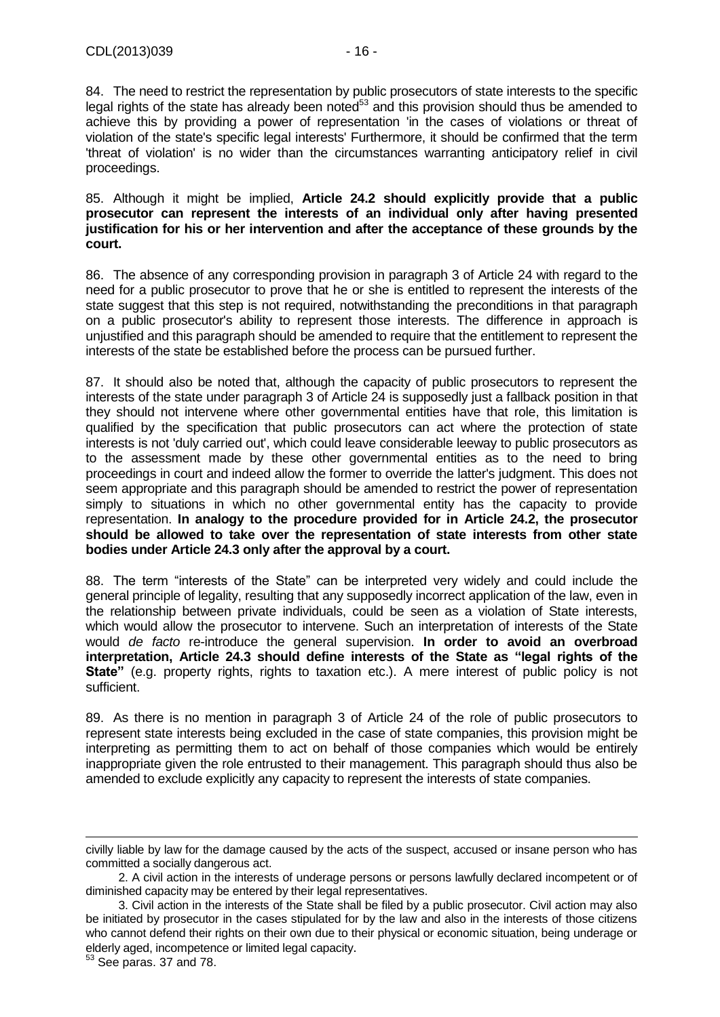84. The need to restrict the representation by public prosecutors of state interests to the specific legal rights of the state has already been noted $53$  and this provision should thus be amended to achieve this by providing a power of representation 'in the cases of violations or threat of violation of the state's specific legal interests' Furthermore, it should be confirmed that the term 'threat of violation' is no wider than the circumstances warranting anticipatory relief in civil proceedings.

85. Although it might be implied, **Article 24.2 should explicitly provide that a public prosecutor can represent the interests of an individual only after having presented justification for his or her intervention and after the acceptance of these grounds by the court.**

86. The absence of any corresponding provision in paragraph 3 of Article 24 with regard to the need for a public prosecutor to prove that he or she is entitled to represent the interests of the state suggest that this step is not required, notwithstanding the preconditions in that paragraph on a public prosecutor's ability to represent those interests. The difference in approach is unjustified and this paragraph should be amended to require that the entitlement to represent the interests of the state be established before the process can be pursued further.

<span id="page-15-0"></span>87. It should also be noted that, although the capacity of public prosecutors to represent the interests of the state under paragraph 3 of Article 24 is supposedly just a fallback position in that they should not intervene where other governmental entities have that role, this limitation is qualified by the specification that public prosecutors can act where the protection of state interests is not 'duly carried out', which could leave considerable leeway to public prosecutors as to the assessment made by these other governmental entities as to the need to bring proceedings in court and indeed allow the former to override the latter's judgment. This does not seem appropriate and this paragraph should be amended to restrict the power of representation simply to situations in which no other governmental entity has the capacity to provide representation. **In analogy to the procedure provided for in Article 24.2, the prosecutor should be allowed to take over the representation of state interests from other state bodies under Article 24.3 only after the approval by a court.**

88. The term "interests of the State" can be interpreted very widely and could include the general principle of legality, resulting that any supposedly incorrect application of the law, even in the relationship between private individuals, could be seen as a violation of State interests, which would allow the prosecutor to intervene. Such an interpretation of interests of the State would *de facto* re-introduce the general supervision. **In order to avoid an overbroad interpretation, Article 24.3 should define interests of the State as "legal rights of the State"** (e.g. property rights, rights to taxation etc.). A mere interest of public policy is not sufficient.

89. As there is no mention in paragraph 3 of Article 24 of the role of public prosecutors to represent state interests being excluded in the case of state companies, this provision might be interpreting as permitting them to act on behalf of those companies which would be entirely inappropriate given the role entrusted to their management. This paragraph should thus also be amended to exclude explicitly any capacity to represent the interests of state companies.

 $\overline{a}$ 

civilly liable by law for the damage caused by the acts of the suspect, accused or insane person who has committed a socially dangerous act.

<sup>2.</sup> A civil action in the interests of underage persons or persons lawfully declared incompetent or of diminished capacity may be entered by their legal representatives.

<sup>3.</sup> Civil action in the interests of the State shall be filed by a public prosecutor. Civil action may also be initiated by prosecutor in the cases stipulated for by the law and also in the interests of those citizens who cannot defend their rights on their own due to their physical or economic situation, being underage or elderly aged, incompetence or limited legal capacity.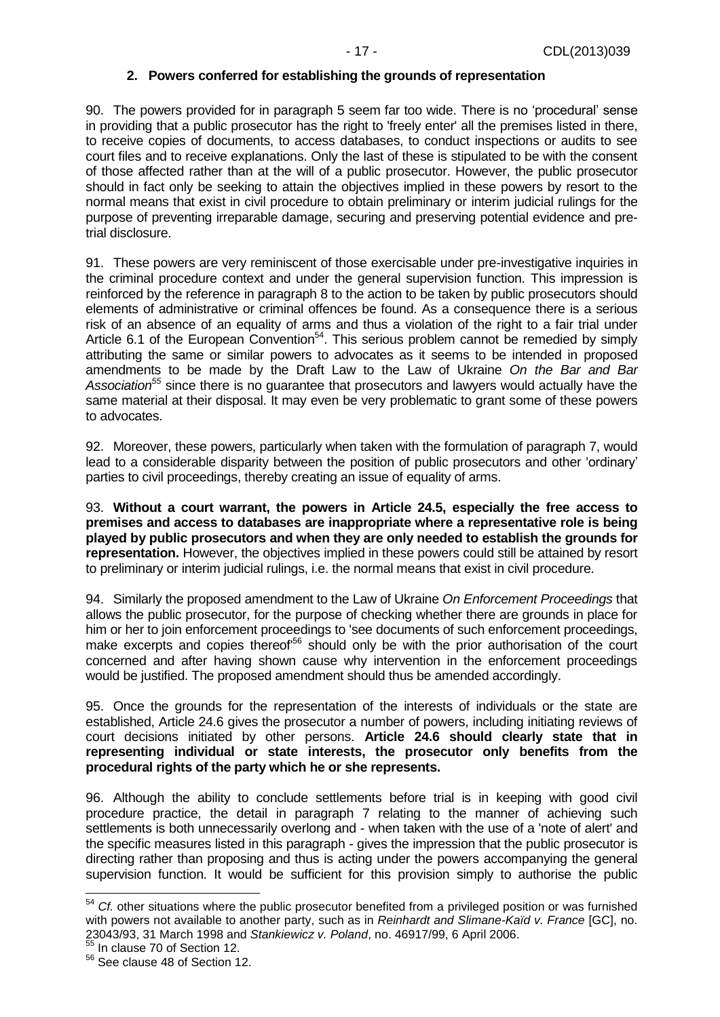#### **2. Powers conferred for establishing the grounds of representation**

90. The powers provided for in paragraph 5 seem far too wide. There is no 'procedural' sense in providing that a public prosecutor has the right to 'freely enter' all the premises listed in there, to receive copies of documents, to access databases, to conduct inspections or audits to see court files and to receive explanations. Only the last of these is stipulated to be with the consent of those affected rather than at the will of a public prosecutor. However, the public prosecutor should in fact only be seeking to attain the objectives implied in these powers by resort to the normal means that exist in civil procedure to obtain preliminary or interim judicial rulings for the purpose of preventing irreparable damage, securing and preserving potential evidence and pretrial disclosure.

91. These powers are very reminiscent of those exercisable under pre-investigative inquiries in the criminal procedure context and under the general supervision function. This impression is reinforced by the reference in paragraph 8 to the action to be taken by public prosecutors should elements of administrative or criminal offences be found. As a consequence there is a serious risk of an absence of an equality of arms and thus a violation of the right to a fair trial under Article 6.1 of the European Convention<sup>54</sup>. This serious problem cannot be remedied by simply attributing the same or similar powers to advocates as it seems to be intended in proposed amendments to be made by the Draft Law to the Law of Ukraine *On the Bar and Bar Association<sup>55</sup>* since there is no guarantee that prosecutors and lawyers would actually have the same material at their disposal. It may even be very problematic to grant some of these powers to advocates.

92. Moreover, these powers, particularly when taken with the formulation of paragraph 7, would lead to a considerable disparity between the position of public prosecutors and other 'ordinary' parties to civil proceedings, thereby creating an issue of equality of arms.

<span id="page-16-0"></span>93. **Without a court warrant, the powers in Article 24.5, especially the free access to premises and access to databases are inappropriate where a representative role is being played by public prosecutors and when they are only needed to establish the grounds for representation.** However, the objectives implied in these powers could still be attained by resort to preliminary or interim judicial rulings, i.e. the normal means that exist in civil procedure.

94. Similarly the proposed amendment to the Law of Ukraine *On Enforcement Proceedings* that allows the public prosecutor, for the purpose of checking whether there are grounds in place for him or her to join enforcement proceedings to 'see documents of such enforcement proceedings, make excerpts and copies thereof<sup>56</sup> should only be with the prior authorisation of the court concerned and after having shown cause why intervention in the enforcement proceedings would be justified. The proposed amendment should thus be amended accordingly.

95. Once the grounds for the representation of the interests of individuals or the state are established, Article 24.6 gives the prosecutor a number of powers, including initiating reviews of court decisions initiated by other persons. **Article 24.6 should clearly state that in representing individual or state interests, the prosecutor only benefits from the procedural rights of the party which he or she represents.**

96. Although the ability to conclude settlements before trial is in keeping with good civil procedure practice, the detail in paragraph 7 relating to the manner of achieving such settlements is both unnecessarily overlong and - when taken with the use of a 'note of alert' and the specific measures listed in this paragraph - gives the impression that the public prosecutor is directing rather than proposing and thus is acting under the powers accompanying the general supervision function. It would be sufficient for this provision simply to authorise the public

<sup>&</sup>lt;sup>54</sup> *Cf.* other situations where the public prosecutor benefited from a privileged position or was furnished with powers not available to another party, such as in *Reinhardt and Slimane-Kaïd v. France* [GC], no. 23043/93, 31 March 1998 and *Stankiewicz v. Poland*, no. 46917/99, 6 April 2006.

<sup>&</sup>lt;sup>55</sup> In clause 70 of Section 12.

<sup>56</sup> See clause 48 of Section 12.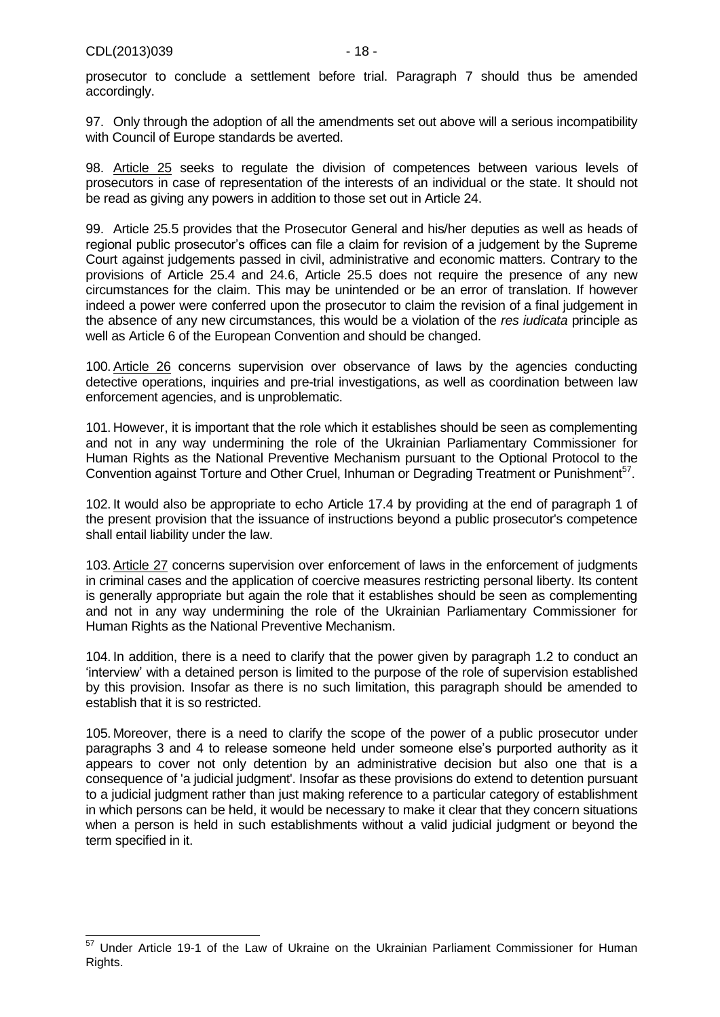prosecutor to conclude a settlement before trial. Paragraph 7 should thus be amended accordingly.

97. Only through the adoption of all the amendments set out above will a serious incompatibility with Council of Europe standards be averted.

98. Article 25 seeks to regulate the division of competences between various levels of prosecutors in case of representation of the interests of an individual or the state. It should not be read as giving any powers in addition to those set out in Article 24.

99. Article 25.5 provides that the Prosecutor General and his/her deputies as well as heads of regional public prosecutor's offices can file a claim for revision of a judgement by the Supreme Court against judgements passed in civil, administrative and economic matters. Contrary to the provisions of Article 25.4 and 24.6, Article 25.5 does not require the presence of any new circumstances for the claim. This may be unintended or be an error of translation. If however indeed a power were conferred upon the prosecutor to claim the revision of a final judgement in the absence of any new circumstances, this would be a violation of the *res iudicata* principle as well as Article 6 of the European Convention and should be changed.

100.Article 26 concerns supervision over observance of laws by the agencies conducting detective operations, inquiries and pre-trial investigations, as well as coordination between law enforcement agencies, and is unproblematic.

<span id="page-17-0"></span>101. However, it is important that the role which it establishes should be seen as complementing and not in any way undermining the role of the Ukrainian Parliamentary Commissioner for Human Rights as the National Preventive Mechanism pursuant to the Optional Protocol to the Convention against Torture and Other Cruel, Inhuman or Degrading Treatment or Punishment<sup>57</sup>.

102. It would also be appropriate to echo Article 17.4 by providing at the end of paragraph 1 of the present provision that the issuance of instructions beyond a public prosecutor's competence shall entail liability under the law.

<span id="page-17-1"></span>103.Article 27 concerns supervision over enforcement of laws in the enforcement of judgments in criminal cases and the application of coercive measures restricting personal liberty. Its content is generally appropriate but again the role that it establishes should be seen as complementing and not in any way undermining the role of the Ukrainian Parliamentary Commissioner for Human Rights as the National Preventive Mechanism.

104. In addition, there is a need to clarify that the power given by paragraph 1.2 to conduct an 'interview' with a detained person is limited to the purpose of the role of supervision established by this provision. Insofar as there is no such limitation, this paragraph should be amended to establish that it is so restricted.

105. Moreover, there is a need to clarify the scope of the power of a public prosecutor under paragraphs 3 and 4 to release someone held under someone else's purported authority as it appears to cover not only detention by an administrative decision but also one that is a consequence of 'a judicial judgment'. Insofar as these provisions do extend to detention pursuant to a judicial judgment rather than just making reference to a particular category of establishment in which persons can be held, it would be necessary to make it clear that they concern situations when a person is held in such establishments without a valid judicial judgment or beyond the term specified in it.

<sup>&</sup>lt;sup>57</sup> Under Article 19-1 of the Law of Ukraine on the Ukrainian Parliament Commissioner for Human Rights.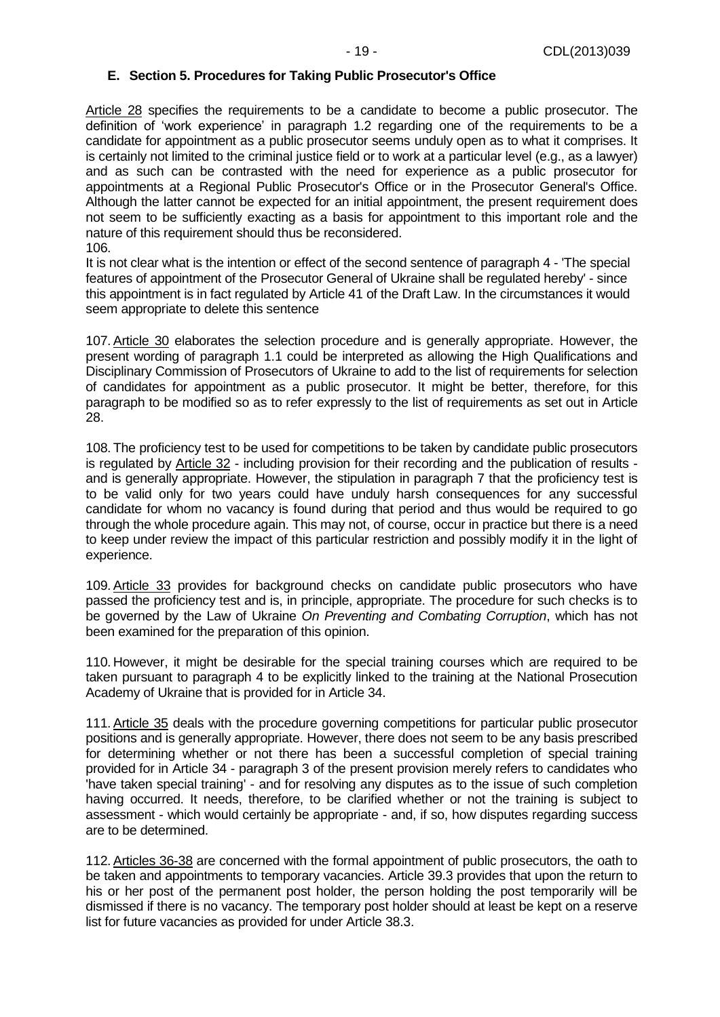<span id="page-18-0"></span>Article 28 specifies the requirements to be a candidate to become a public prosecutor. The definition of 'work experience' in paragraph 1.2 regarding one of the requirements to be a candidate for appointment as a public prosecutor seems unduly open as to what it comprises. It is certainly not limited to the criminal justice field or to work at a particular level (e.g., as a lawyer) and as such can be contrasted with the need for experience as a public prosecutor for appointments at a Regional Public Prosecutor's Office or in the Prosecutor General's Office. Although the latter cannot be expected for an initial appointment, the present requirement does not seem to be sufficiently exacting as a basis for appointment to this important role and the nature of this requirement should thus be reconsidered. 106.

It is not clear what is the intention or effect of the second sentence of paragraph 4 - 'The special features of appointment of the Prosecutor General of Ukraine shall be regulated hereby' - since this appointment is in fact regulated by Article 41 of the Draft Law. In the circumstances it would seem appropriate to delete this sentence

107.Article 30 elaborates the selection procedure and is generally appropriate. However, the present wording of paragraph 1.1 could be interpreted as allowing the High Qualifications and Disciplinary Commission of Prosecutors of Ukraine to add to the list of requirements for selection of candidates for appointment as a public prosecutor. It might be better, therefore, for this paragraph to be modified so as to refer expressly to the list of requirements as set out in Article 28.

108. The proficiency test to be used for competitions to be taken by candidate public prosecutors is regulated by Article 32 - including provision for their recording and the publication of results and is generally appropriate. However, the stipulation in paragraph 7 that the proficiency test is to be valid only for two years could have unduly harsh consequences for any successful candidate for whom no vacancy is found during that period and thus would be required to go through the whole procedure again. This may not, of course, occur in practice but there is a need to keep under review the impact of this particular restriction and possibly modify it in the light of experience.

109.Article 33 provides for background checks on candidate public prosecutors who have passed the proficiency test and is, in principle, appropriate. The procedure for such checks is to be governed by the Law of Ukraine *On Preventing and Combating Corruption*, which has not been examined for the preparation of this opinion.

110. However, it might be desirable for the special training courses which are required to be taken pursuant to paragraph 4 to be explicitly linked to the training at the National Prosecution Academy of Ukraine that is provided for in Article 34.

111.Article 35 deals with the procedure governing competitions for particular public prosecutor positions and is generally appropriate. However, there does not seem to be any basis prescribed for determining whether or not there has been a successful completion of special training provided for in Article 34 - paragraph 3 of the present provision merely refers to candidates who 'have taken special training' - and for resolving any disputes as to the issue of such completion having occurred. It needs, therefore, to be clarified whether or not the training is subject to assessment - which would certainly be appropriate - and, if so, how disputes regarding success are to be determined.

112.Articles 36-38 are concerned with the formal appointment of public prosecutors, the oath to be taken and appointments to temporary vacancies. Article 39.3 provides that upon the return to his or her post of the permanent post holder, the person holding the post temporarily will be dismissed if there is no vacancy. The temporary post holder should at least be kept on a reserve list for future vacancies as provided for under Article 38.3.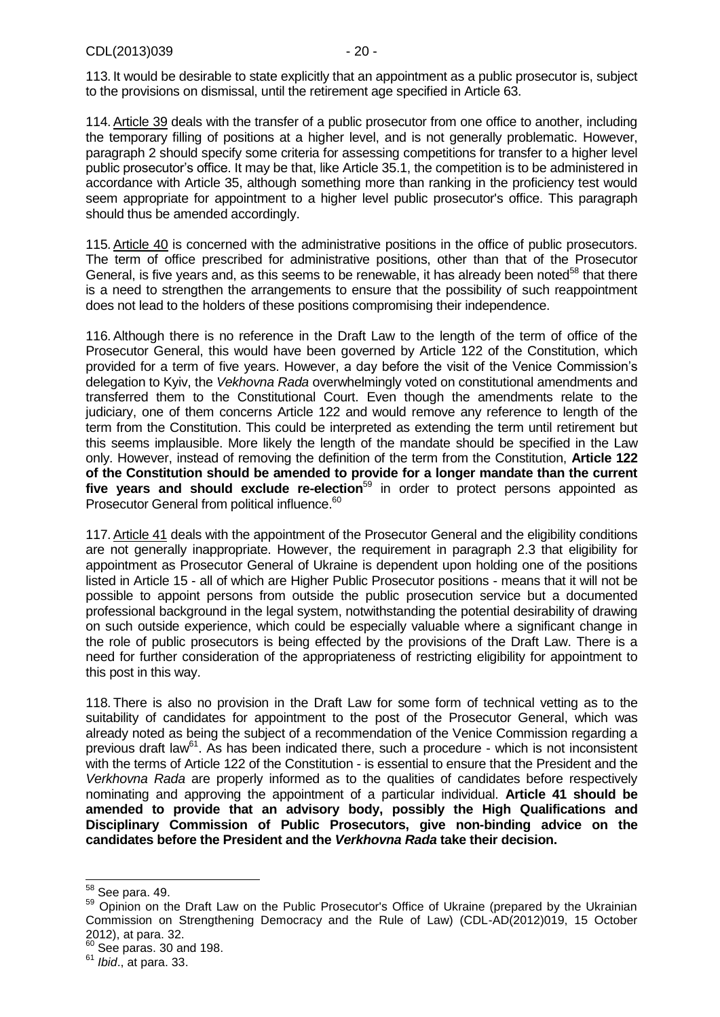113. It would be desirable to state explicitly that an appointment as a public prosecutor is, subject to the provisions on dismissal, until the retirement age specified in Article 63.

114.Article 39 deals with the transfer of a public prosecutor from one office to another, including the temporary filling of positions at a higher level, and is not generally problematic. However, paragraph 2 should specify some criteria for assessing competitions for transfer to a higher level public prosecutor's office. It may be that, like Article 35.1, the competition is to be administered in accordance with Article 35, although something more than ranking in the proficiency test would seem appropriate for appointment to a higher level public prosecutor's office. This paragraph should thus be amended accordingly.

<span id="page-19-1"></span>115.Article 40 is concerned with the administrative positions in the office of public prosecutors. The term of office prescribed for administrative positions, other than that of the Prosecutor General, is five years and, as this seems to be renewable, it has already been noted<sup>58</sup> that there is a need to strengthen the arrangements to ensure that the possibility of such reappointment does not lead to the holders of these positions compromising their independence.

<span id="page-19-0"></span>116.Although there is no reference in the Draft Law to the length of the term of office of the Prosecutor General, this would have been governed by Article 122 of the Constitution, which provided for a term of five years. However, a day before the visit of the Venice Commission's delegation to Kyiv, the *Vekhovna Rada* overwhelmingly voted on constitutional amendments and transferred them to the Constitutional Court. Even though the amendments relate to the judiciary, one of them concerns Article 122 and would remove any reference to length of the term from the Constitution. This could be interpreted as extending the term until retirement but this seems implausible. More likely the length of the mandate should be specified in the Law only. However, instead of removing the definition of the term from the Constitution, **Article 122 of the Constitution should be amended to provide for a longer mandate than the current**  five years and should exclude re-election<sup>59</sup> in order to protect persons appointed as Prosecutor General from political influence.<sup>60</sup>

<span id="page-19-2"></span>117.Article 41 deals with the appointment of the Prosecutor General and the eligibility conditions are not generally inappropriate. However, the requirement in paragraph 2.3 that eligibility for appointment as Prosecutor General of Ukraine is dependent upon holding one of the positions listed in Article 15 - all of which are Higher Public Prosecutor positions - means that it will not be possible to appoint persons from outside the public prosecution service but a documented professional background in the legal system, notwithstanding the potential desirability of drawing on such outside experience, which could be especially valuable where a significant change in the role of public prosecutors is being effected by the provisions of the Draft Law. There is a need for further consideration of the appropriateness of restricting eligibility for appointment to this post in this way.

<span id="page-19-3"></span>118. There is also no provision in the Draft Law for some form of technical vetting as to the suitability of candidates for appointment to the post of the Prosecutor General, which was already noted as being the subject of a recommendation of the Venice Commission regarding a previous draft law<sup>61</sup>. As has been indicated there, such a procedure - which is not inconsistent with the terms of Article 122 of the Constitution - is essential to ensure that the President and the *Verkhovna Rada* are properly informed as to the qualities of candidates before respectively nominating and approving the appointment of a particular individual. **Article 41 should be amended to provide that an advisory body, possibly the High Qualifications and Disciplinary Commission of Public Prosecutors, give non-binding advice on the candidates before the President and the** *Verkhovna Rada* **take their decision.**

 $\overline{a}$ <sup>58</sup> See para. [49.](#page-10-1)

<sup>&</sup>lt;sup>59</sup> Opinion on the Draft Law on the Public Prosecutor's Office of Ukraine (prepared by the Ukrainian Commission on Strengthening Democracy and the Rule of Law) (CDL-AD(2012)019, 15 October 2012), at para. 32.

See paras. [30](#page-7-4) and [198.](#page-30-0)

<sup>61</sup> *Ibid*., at para. 33.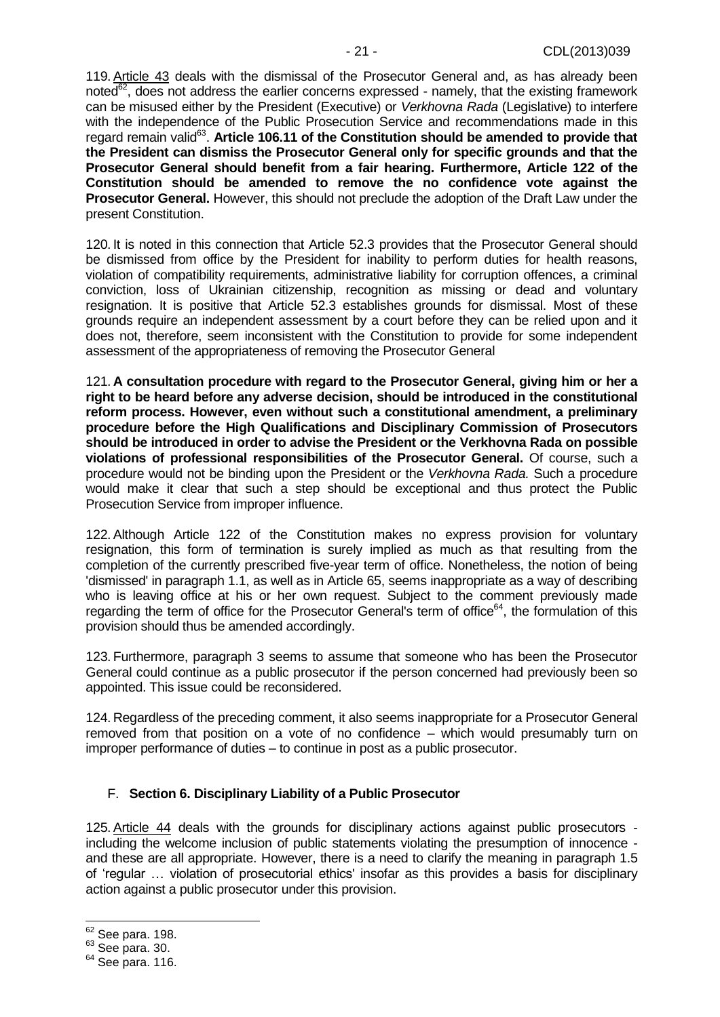<span id="page-20-1"></span>119.Article 43 deals with the dismissal of the Prosecutor General and, as has already been noted $\overline{6}^2$ . does not address the earlier concerns expressed - namely, that the existing framework can be misused either by the President (Executive) or *Verkhovna Rada* (Legislative) to interfere with the independence of the Public Prosecution Service and recommendations made in this regard remain valid<sup>63</sup>. Article 106.11 of the Constitution should be amended to provide that **the President can dismiss the Prosecutor General only for specific grounds and that the Prosecutor General should benefit from a fair hearing. Furthermore, Article 122 of the Constitution should be amended to remove the no confidence vote against the Prosecutor General.** However, this should not preclude the adoption of the Draft Law under the present Constitution.

120. It is noted in this connection that Article 52.3 provides that the Prosecutor General should be dismissed from office by the President for inability to perform duties for health reasons, violation of compatibility requirements, administrative liability for corruption offences, a criminal conviction, loss of Ukrainian citizenship, recognition as missing or dead and voluntary resignation. It is positive that Article 52.3 establishes grounds for dismissal. Most of these grounds require an independent assessment by a court before they can be relied upon and it does not, therefore, seem inconsistent with the Constitution to provide for some independent assessment of the appropriateness of removing the Prosecutor General

121. **A consultation procedure with regard to the Prosecutor General, giving him or her a right to be heard before any adverse decision, should be introduced in the constitutional reform process. However, even without such a constitutional amendment, a preliminary procedure before the High Qualifications and Disciplinary Commission of Prosecutors should be introduced in order to advise the President or the Verkhovna Rada on possible violations of professional responsibilities of the Prosecutor General.** Of course, such a procedure would not be binding upon the President or the *Verkhovna Rada.* Such a procedure would make it clear that such a step should be exceptional and thus protect the Public Prosecution Service from improper influence.

<span id="page-20-2"></span>122.Although Article 122 of the Constitution makes no express provision for voluntary resignation, this form of termination is surely implied as much as that resulting from the completion of the currently prescribed five-year term of office. Nonetheless, the notion of being 'dismissed' in paragraph 1.1, as well as in Article 65, seems inappropriate as a way of describing who is leaving office at his or her own request. Subject to the comment previously made regarding the term of office for the Prosecutor General's term of office<sup>64</sup>, the formulation of this provision should thus be amended accordingly.

123. Furthermore, paragraph 3 seems to assume that someone who has been the Prosecutor General could continue as a public prosecutor if the person concerned had previously been so appointed. This issue could be reconsidered.

124. Regardless of the preceding comment, it also seems inappropriate for a Prosecutor General removed from that position on a vote of no confidence – which would presumably turn on improper performance of duties – to continue in post as a public prosecutor.

## <span id="page-20-0"></span>F. **Section 6. Disciplinary Liability of a Public Prosecutor**

125.Article 44 deals with the grounds for disciplinary actions against public prosecutors including the welcome inclusion of public statements violating the presumption of innocence and these are all appropriate. However, there is a need to clarify the meaning in paragraph 1.5 of 'regular … violation of prosecutorial ethics' insofar as this provides a basis for disciplinary action against a public prosecutor under this provision.

 $\overline{a}$ 

 $62$  See para. [198.](#page-30-0)

 $63$  See para. [30.](#page-7-4)

 $64$  See para. [116.](#page-19-0)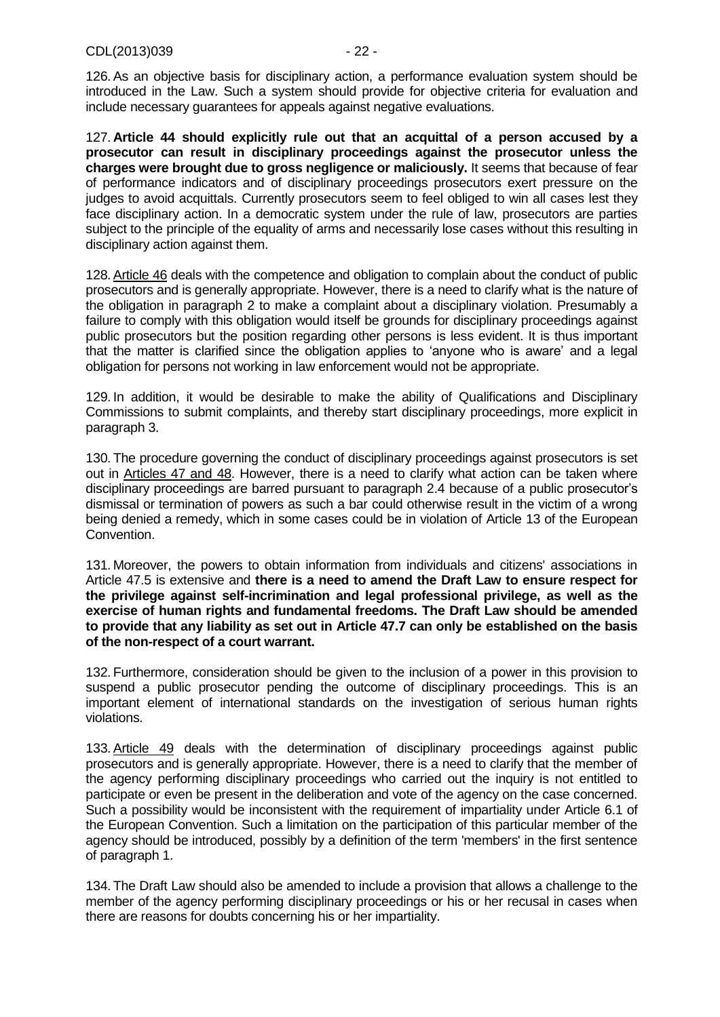126.As an objective basis for disciplinary action, a performance evaluation system should be introduced in the Law. Such a system should provide for objective criteria for evaluation and include necessary guarantees for appeals against negative evaluations.

127. **Article 44 should explicitly rule out that an acquittal of a person accused by a prosecutor can result in disciplinary proceedings against the prosecutor unless the charges were brought due to gross negligence or maliciously.** It seems that because of fear of performance indicators and of disciplinary proceedings prosecutors exert pressure on the judges to avoid acquittals. Currently prosecutors seem to feel obliged to win all cases lest they face disciplinary action. In a democratic system under the rule of law, prosecutors are parties subject to the principle of the equality of arms and necessarily lose cases without this resulting in disciplinary action against them.

128.Article 46 deals with the competence and obligation to complain about the conduct of public prosecutors and is generally appropriate. However, there is a need to clarify what is the nature of the obligation in paragraph 2 to make a complaint about a disciplinary violation. Presumably a failure to comply with this obligation would itself be grounds for disciplinary proceedings against public prosecutors but the position regarding other persons is less evident. It is thus important that the matter is clarified since the obligation applies to 'anyone who is aware' and a legal obligation for persons not working in law enforcement would not be appropriate.

129. In addition, it would be desirable to make the ability of Qualifications and Disciplinary Commissions to submit complaints, and thereby start disciplinary proceedings, more explicit in paragraph 3.

130. The procedure governing the conduct of disciplinary proceedings against prosecutors is set out in Articles 47 and 48. However, there is a need to clarify what action can be taken where disciplinary proceedings are barred pursuant to paragraph 2.4 because of a public prosecutor's dismissal or termination of powers as such a bar could otherwise result in the victim of a wrong being denied a remedy, which in some cases could be in violation of Article 13 of the European Convention.

131. Moreover, the powers to obtain information from individuals and citizens' associations in Article 47.5 is extensive and **there is a need to amend the Draft Law to ensure respect for the privilege against self-incrimination and legal professional privilege, as well as the exercise of human rights and fundamental freedoms. The Draft Law should be amended to provide that any liability as set out in Article 47.7 can only be established on the basis of the non-respect of a court warrant.**

132. Furthermore, consideration should be given to the inclusion of a power in this provision to suspend a public prosecutor pending the outcome of disciplinary proceedings. This is an important element of international standards on the investigation of serious human rights violations.

133.Article 49 deals with the determination of disciplinary proceedings against public prosecutors and is generally appropriate. However, there is a need to clarify that the member of the agency performing disciplinary proceedings who carried out the inquiry is not entitled to participate or even be present in the deliberation and vote of the agency on the case concerned. Such a possibility would be inconsistent with the requirement of impartiality under Article 6.1 of the European Convention. Such a limitation on the participation of this particular member of the agency should be introduced, possibly by a definition of the term 'members' in the first sentence of paragraph 1.

134. The Draft Law should also be amended to include a provision that allows a challenge to the member of the agency performing disciplinary proceedings or his or her recusal in cases when there are reasons for doubts concerning his or her impartiality.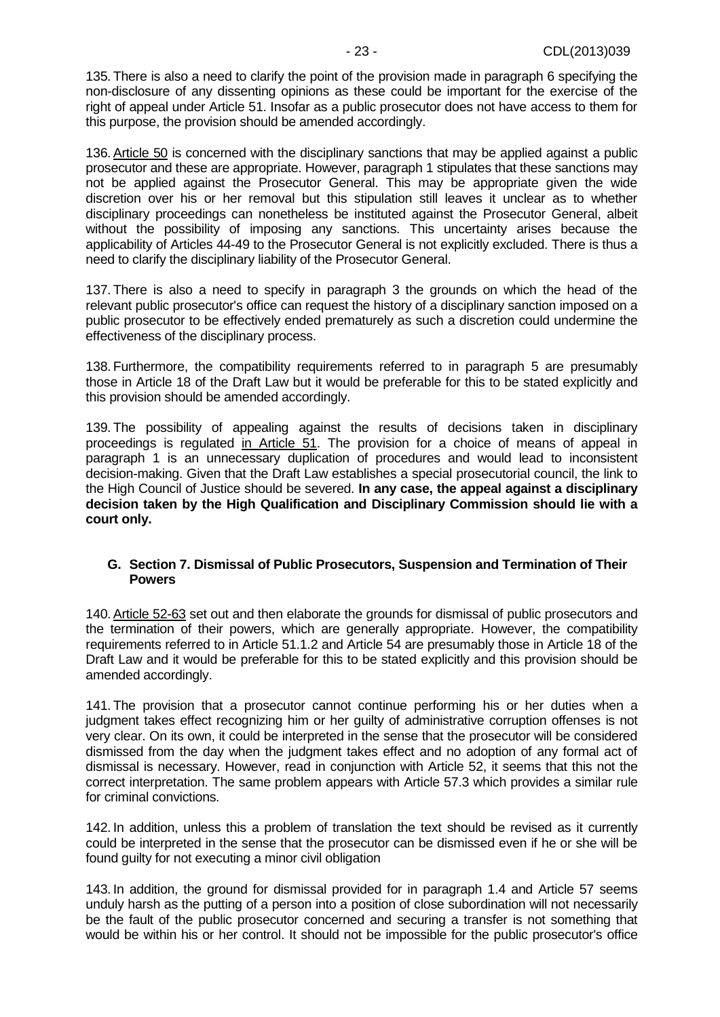135. There is also a need to clarify the point of the provision made in paragraph 6 specifying the non-disclosure of any dissenting opinions as these could be important for the exercise of the right of appeal under Article 51. Insofar as a public prosecutor does not have access to them for this purpose, the provision should be amended accordingly.

136.Article 50 is concerned with the disciplinary sanctions that may be applied against a public prosecutor and these are appropriate. However, paragraph 1 stipulates that these sanctions may not be applied against the Prosecutor General. This may be appropriate given the wide discretion over his or her removal but this stipulation still leaves it unclear as to whether disciplinary proceedings can nonetheless be instituted against the Prosecutor General, albeit without the possibility of imposing any sanctions. This uncertainty arises because the applicability of Articles 44-49 to the Prosecutor General is not explicitly excluded. There is thus a need to clarify the disciplinary liability of the Prosecutor General.

137. There is also a need to specify in paragraph 3 the grounds on which the head of the relevant public prosecutor's office can request the history of a disciplinary sanction imposed on a public prosecutor to be effectively ended prematurely as such a discretion could undermine the effectiveness of the disciplinary process.

138. Furthermore, the compatibility requirements referred to in paragraph 5 are presumably those in Article 18 of the Draft Law but it would be preferable for this to be stated explicitly and this provision should be amended accordingly.

<span id="page-22-1"></span>139. The possibility of appealing against the results of decisions taken in disciplinary proceedings is regulated in Article 51. The provision for a choice of means of appeal in paragraph 1 is an unnecessary duplication of procedures and would lead to inconsistent decision-making. Given that the Draft Law establishes a special prosecutorial council, the link to the High Council of Justice should be severed. **In any case, the appeal against a disciplinary decision taken by the High Qualification and Disciplinary Commission should lie with a court only.**

### <span id="page-22-0"></span>**G. Section 7. Dismissal of Public Prosecutors, Suspension and Termination of Their Powers**

140.Article 52-63 set out and then elaborate the grounds for dismissal of public prosecutors and the termination of their powers, which are generally appropriate. However, the compatibility requirements referred to in Article 51.1.2 and Article 54 are presumably those in Article 18 of the Draft Law and it would be preferable for this to be stated explicitly and this provision should be amended accordingly.

141. The provision that a prosecutor cannot continue performing his or her duties when a judgment takes effect recognizing him or her guilty of administrative corruption offenses is not very clear. On its own, it could be interpreted in the sense that the prosecutor will be considered dismissed from the day when the judgment takes effect and no adoption of any formal act of dismissal is necessary. However, read in conjunction with Article 52, it seems that this not the correct interpretation. The same problem appears with Article 57.3 which provides a similar rule for criminal convictions.

142. In addition, unless this a problem of translation the text should be revised as it currently could be interpreted in the sense that the prosecutor can be dismissed even if he or she will be found guilty for not executing a minor civil obligation

143. In addition, the ground for dismissal provided for in paragraph 1.4 and Article 57 seems unduly harsh as the putting of a person into a position of close subordination will not necessarily be the fault of the public prosecutor concerned and securing a transfer is not something that would be within his or her control. It should not be impossible for the public prosecutor's office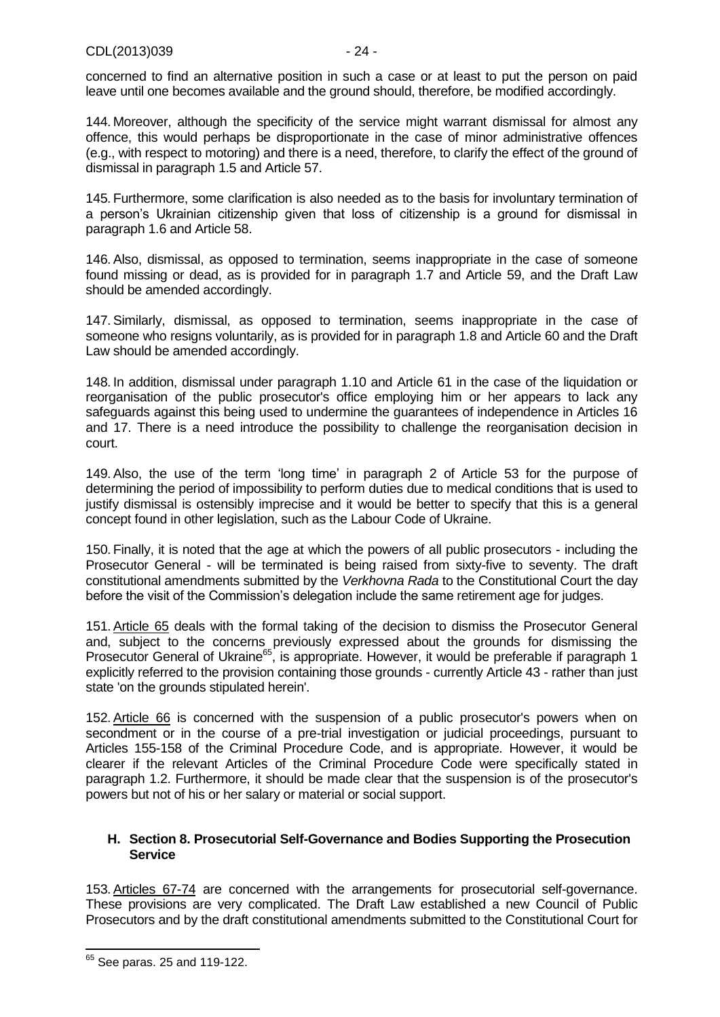concerned to find an alternative position in such a case or at least to put the person on paid leave until one becomes available and the ground should, therefore, be modified accordingly.

144. Moreover, although the specificity of the service might warrant dismissal for almost any offence, this would perhaps be disproportionate in the case of minor administrative offences (e.g., with respect to motoring) and there is a need, therefore, to clarify the effect of the ground of dismissal in paragraph 1.5 and Article 57.

145. Furthermore, some clarification is also needed as to the basis for involuntary termination of a person's Ukrainian citizenship given that loss of citizenship is a ground for dismissal in paragraph 1.6 and Article 58.

146.Also, dismissal, as opposed to termination, seems inappropriate in the case of someone found missing or dead, as is provided for in paragraph 1.7 and Article 59, and the Draft Law should be amended accordingly.

147.Similarly, dismissal, as opposed to termination, seems inappropriate in the case of someone who resigns voluntarily, as is provided for in paragraph 1.8 and Article 60 and the Draft Law should be amended accordingly.

148. In addition, dismissal under paragraph 1.10 and Article 61 in the case of the liquidation or reorganisation of the public prosecutor's office employing him or her appears to lack any safeguards against this being used to undermine the guarantees of independence in Articles 16 and 17. There is a need introduce the possibility to challenge the reorganisation decision in court.

<span id="page-23-1"></span>149.Also, the use of the term 'long time' in paragraph 2 of Article 53 for the purpose of determining the period of impossibility to perform duties due to medical conditions that is used to justify dismissal is ostensibly imprecise and it would be better to specify that this is a general concept found in other legislation, such as the Labour Code of Ukraine.

150. Finally, it is noted that the age at which the powers of all public prosecutors - including the Prosecutor General - will be terminated is being raised from sixty-five to seventy. The draft constitutional amendments submitted by the *Verkhovna Rada* to the Constitutional Court the day before the visit of the Commission's delegation include the same retirement age for judges.

151.Article 65 deals with the formal taking of the decision to dismiss the Prosecutor General and, subject to the concerns previously expressed about the grounds for dismissing the Prosecutor General of Ukraine<sup>65</sup>, is appropriate. However, it would be preferable if paragraph 1 explicitly referred to the provision containing those grounds - currently Article 43 - rather than just state 'on the grounds stipulated herein'.

152.Article 66 is concerned with the suspension of a public prosecutor's powers when on secondment or in the course of a pre-trial investigation or judicial proceedings, pursuant to Articles 155-158 of the Criminal Procedure Code, and is appropriate. However, it would be clearer if the relevant Articles of the Criminal Procedure Code were specifically stated in paragraph 1.2. Furthermore, it should be made clear that the suspension is of the prosecutor's powers but not of his or her salary or material or social support.

### <span id="page-23-0"></span>**H. Section 8. Prosecutorial Self-Governance and Bodies Supporting the Prosecution Service**

153.Articles 67-74 are concerned with the arrangements for prosecutorial self-governance. These provisions are very complicated. The Draft Law established a new Council of Public Prosecutors and by the draft constitutional amendments submitted to the Constitutional Court for

 $65$  See paras. 25 and [119](#page-20-1)[-122.](#page-20-2)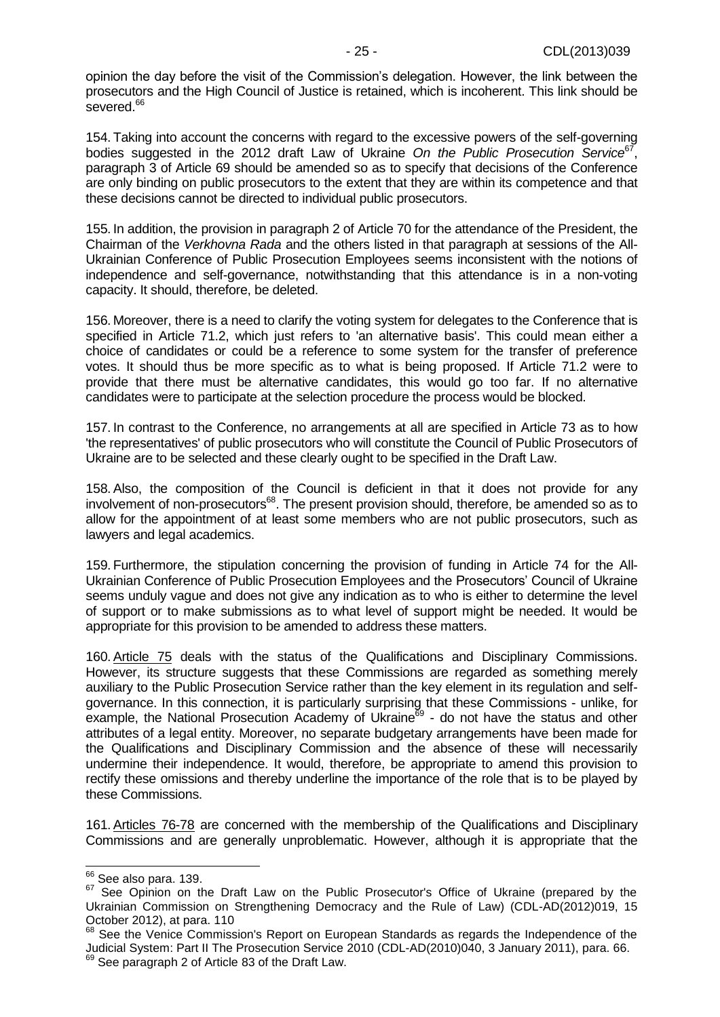opinion the day before the visit of the Commission's delegation. However, the link between the prosecutors and the High Council of Justice is retained, which is incoherent. This link should be severed.<sup>66</sup>

154. Taking into account the concerns with regard to the excessive powers of the self-governing bodies suggested in the 2012 draft Law of Ukraine On the Public Prosecution Service<sup>67</sup>, paragraph 3 of Article 69 should be amended so as to specify that decisions of the Conference are only binding on public prosecutors to the extent that they are within its competence and that these decisions cannot be directed to individual public prosecutors.

155. In addition, the provision in paragraph 2 of Article 70 for the attendance of the President, the Chairman of the *Verkhovna Rada* and the others listed in that paragraph at sessions of the All-Ukrainian Conference of Public Prosecution Employees seems inconsistent with the notions of independence and self-governance, notwithstanding that this attendance is in a non-voting capacity. It should, therefore, be deleted.

156. Moreover, there is a need to clarify the voting system for delegates to the Conference that is specified in Article 71.2, which just refers to 'an alternative basis'. This could mean either a choice of candidates or could be a reference to some system for the transfer of preference votes. It should thus be more specific as to what is being proposed. If Article 71.2 were to provide that there must be alternative candidates, this would go too far. If no alternative candidates were to participate at the selection procedure the process would be blocked.

157. In contrast to the Conference, no arrangements at all are specified in Article 73 as to how 'the representatives' of public prosecutors who will constitute the Council of Public Prosecutors of Ukraine are to be selected and these clearly ought to be specified in the Draft Law.

158.Also, the composition of the Council is deficient in that it does not provide for any involvement of non-prosecutors<sup>68</sup>. The present provision should, therefore, be amended so as to allow for the appointment of at least some members who are not public prosecutors, such as lawyers and legal academics.

159. Furthermore, the stipulation concerning the provision of funding in Article 74 for the All-Ukrainian Conference of Public Prosecution Employees and the Prosecutors' Council of Ukraine seems unduly vague and does not give any indication as to who is either to determine the level of support or to make submissions as to what level of support might be needed. It would be appropriate for this provision to be amended to address these matters.

160.Article 75 deals with the status of the Qualifications and Disciplinary Commissions. However, its structure suggests that these Commissions are regarded as something merely auxiliary to the Public Prosecution Service rather than the key element in its regulation and selfgovernance. In this connection, it is particularly surprising that these Commissions - unlike, for example, the National Prosecution Academy of Ukraine<sup>69</sup> - do not have the status and other attributes of a legal entity. Moreover, no separate budgetary arrangements have been made for the Qualifications and Disciplinary Commission and the absence of these will necessarily undermine their independence. It would, therefore, be appropriate to amend this provision to rectify these omissions and thereby underline the importance of the role that is to be played by these Commissions.

161.Articles 76-78 are concerned with the membership of the Qualifications and Disciplinary Commissions and are generally unproblematic. However, although it is appropriate that the

 $66$  See also para. [139.](#page-22-1)

<sup>&</sup>lt;sup>67</sup> See Opinion on the Draft Law on the Public Prosecutor's Office of Ukraine (prepared by the Ukrainian Commission on Strengthening Democracy and the Rule of Law) (CDL-AD(2012)019, 15 October 2012), at para. 110

<sup>68</sup> See the Venice Commission's Report on European Standards as regards the Independence of the Judicial System: Part II The Prosecution Service 2010 (CDL-AD(2010)040, 3 January 2011), para. 66.

<sup>&</sup>lt;sup>69</sup> See paragraph 2 of Article 83 of the Draft Law.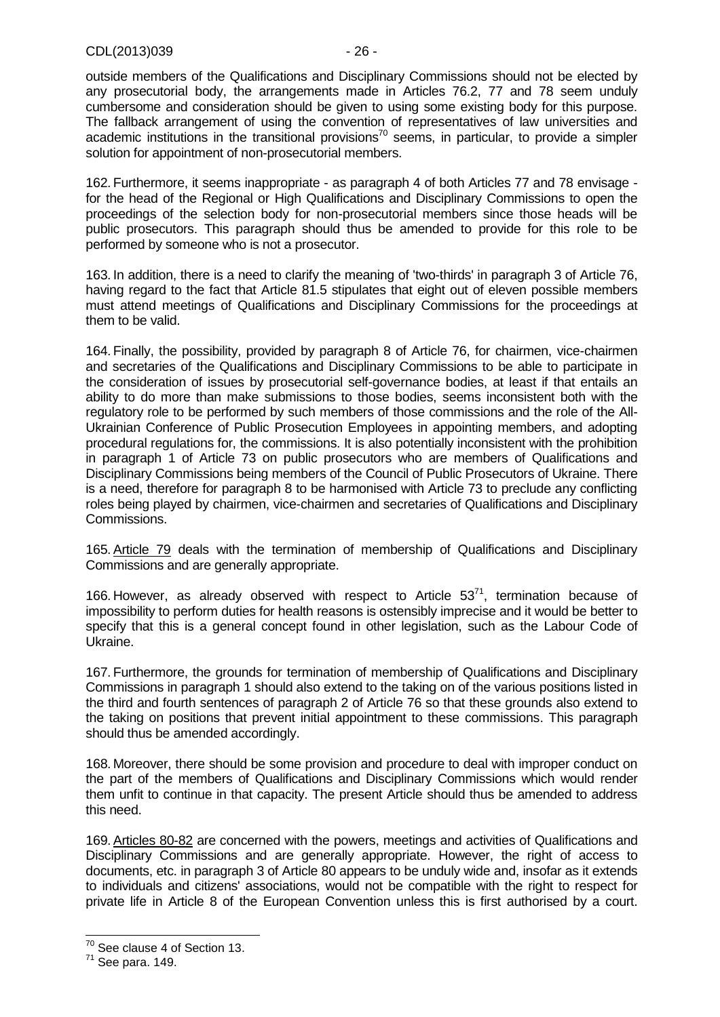outside members of the Qualifications and Disciplinary Commissions should not be elected by any prosecutorial body, the arrangements made in Articles 76.2, 77 and 78 seem unduly cumbersome and consideration should be given to using some existing body for this purpose. The fallback arrangement of using the convention of representatives of law universities and academic institutions in the transitional provisions<sup>70</sup> seems, in particular, to provide a simpler solution for appointment of non-prosecutorial members.

162. Furthermore, it seems inappropriate - as paragraph 4 of both Articles 77 and 78 envisage for the head of the Regional or High Qualifications and Disciplinary Commissions to open the proceedings of the selection body for non-prosecutorial members since those heads will be public prosecutors. This paragraph should thus be amended to provide for this role to be performed by someone who is not a prosecutor.

163. In addition, there is a need to clarify the meaning of 'two-thirds' in paragraph 3 of Article 76, having regard to the fact that Article 81.5 stipulates that eight out of eleven possible members must attend meetings of Qualifications and Disciplinary Commissions for the proceedings at them to be valid.

164. Finally, the possibility, provided by paragraph 8 of Article 76, for chairmen, vice-chairmen and secretaries of the Qualifications and Disciplinary Commissions to be able to participate in the consideration of issues by prosecutorial self-governance bodies, at least if that entails an ability to do more than make submissions to those bodies, seems inconsistent both with the regulatory role to be performed by such members of those commissions and the role of the All-Ukrainian Conference of Public Prosecution Employees in appointing members, and adopting procedural regulations for, the commissions. It is also potentially inconsistent with the prohibition in paragraph 1 of Article 73 on public prosecutors who are members of Qualifications and Disciplinary Commissions being members of the Council of Public Prosecutors of Ukraine. There is a need, therefore for paragraph 8 to be harmonised with Article 73 to preclude any conflicting roles being played by chairmen, vice-chairmen and secretaries of Qualifications and Disciplinary Commissions.

165.Article 79 deals with the termination of membership of Qualifications and Disciplinary Commissions and are generally appropriate.

166. However, as already observed with respect to Article  $53<sup>71</sup>$ , termination because of impossibility to perform duties for health reasons is ostensibly imprecise and it would be better to specify that this is a general concept found in other legislation, such as the Labour Code of Ukraine.

167. Furthermore, the grounds for termination of membership of Qualifications and Disciplinary Commissions in paragraph 1 should also extend to the taking on of the various positions listed in the third and fourth sentences of paragraph 2 of Article 76 so that these grounds also extend to the taking on positions that prevent initial appointment to these commissions. This paragraph should thus be amended accordingly.

168. Moreover, there should be some provision and procedure to deal with improper conduct on the part of the members of Qualifications and Disciplinary Commissions which would render them unfit to continue in that capacity. The present Article should thus be amended to address this need.

169.Articles 80-82 are concerned with the powers, meetings and activities of Qualifications and Disciplinary Commissions and are generally appropriate. However, the right of access to documents, etc. in paragraph 3 of Article 80 appears to be unduly wide and, insofar as it extends to individuals and citizens' associations, would not be compatible with the right to respect for private life in Article 8 of the European Convention unless this is first authorised by a court.

 $70$  See clause 4 of Section 13.

<sup>71</sup> See para. [149.](#page-23-1)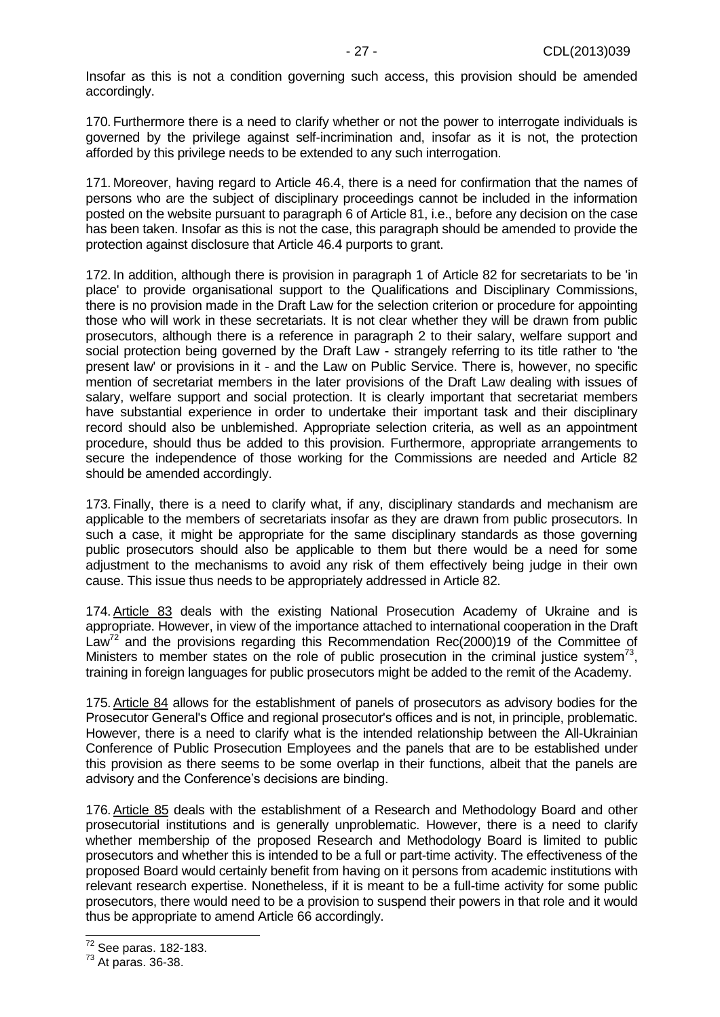Insofar as this is not a condition governing such access, this provision should be amended accordingly.

170. Furthermore there is a need to clarify whether or not the power to interrogate individuals is governed by the privilege against self-incrimination and, insofar as it is not, the protection afforded by this privilege needs to be extended to any such interrogation.

171. Moreover, having regard to Article 46.4, there is a need for confirmation that the names of persons who are the subject of disciplinary proceedings cannot be included in the information posted on the website pursuant to paragraph 6 of Article 81, i.e., before any decision on the case has been taken. Insofar as this is not the case, this paragraph should be amended to provide the protection against disclosure that Article 46.4 purports to grant.

172. In addition, although there is provision in paragraph 1 of Article 82 for secretariats to be 'in place' to provide organisational support to the Qualifications and Disciplinary Commissions, there is no provision made in the Draft Law for the selection criterion or procedure for appointing those who will work in these secretariats. It is not clear whether they will be drawn from public prosecutors, although there is a reference in paragraph 2 to their salary, welfare support and social protection being governed by the Draft Law - strangely referring to its title rather to 'the present law' or provisions in it - and the Law on Public Service. There is, however, no specific mention of secretariat members in the later provisions of the Draft Law dealing with issues of salary, welfare support and social protection. It is clearly important that secretariat members have substantial experience in order to undertake their important task and their disciplinary record should also be unblemished. Appropriate selection criteria, as well as an appointment procedure, should thus be added to this provision. Furthermore, appropriate arrangements to secure the independence of those working for the Commissions are needed and Article 82 should be amended accordingly.

173. Finally, there is a need to clarify what, if any, disciplinary standards and mechanism are applicable to the members of secretariats insofar as they are drawn from public prosecutors. In such a case, it might be appropriate for the same disciplinary standards as those governing public prosecutors should also be applicable to them but there would be a need for some adjustment to the mechanisms to avoid any risk of them effectively being judge in their own cause. This issue thus needs to be appropriately addressed in Article 82.

174.Article 83 deals with the existing National Prosecution Academy of Ukraine and is appropriate. However, in view of the importance attached to international cooperation in the Draft Law<sup>72</sup> and the provisions regarding this Recommendation Rec(2000)19 of the Committee of Ministers to member states on the role of public prosecution in the criminal justice system<sup>73</sup>, training in foreign languages for public prosecutors might be added to the remit of the Academy.

175.Article 84 allows for the establishment of panels of prosecutors as advisory bodies for the Prosecutor General's Office and regional prosecutor's offices and is not, in principle, problematic. However, there is a need to clarify what is the intended relationship between the All-Ukrainian Conference of Public Prosecution Employees and the panels that are to be established under this provision as there seems to be some overlap in their functions, albeit that the panels are advisory and the Conference's decisions are binding.

176.Article 85 deals with the establishment of a Research and Methodology Board and other prosecutorial institutions and is generally unproblematic. However, there is a need to clarify whether membership of the proposed Research and Methodology Board is limited to public prosecutors and whether this is intended to be a full or part-time activity. The effectiveness of the proposed Board would certainly benefit from having on it persons from academic institutions with relevant research expertise. Nonetheless, if it is meant to be a full-time activity for some public prosecutors, there would need to be a provision to suspend their powers in that role and it would thus be appropriate to amend Article 66 accordingly.

<sup>&</sup>lt;sup>72</sup> See paras. [182-](#page-27-3)[183.](#page-28-2)

 $73$  At paras. [36-](#page-8-0)[38.](#page-8-2)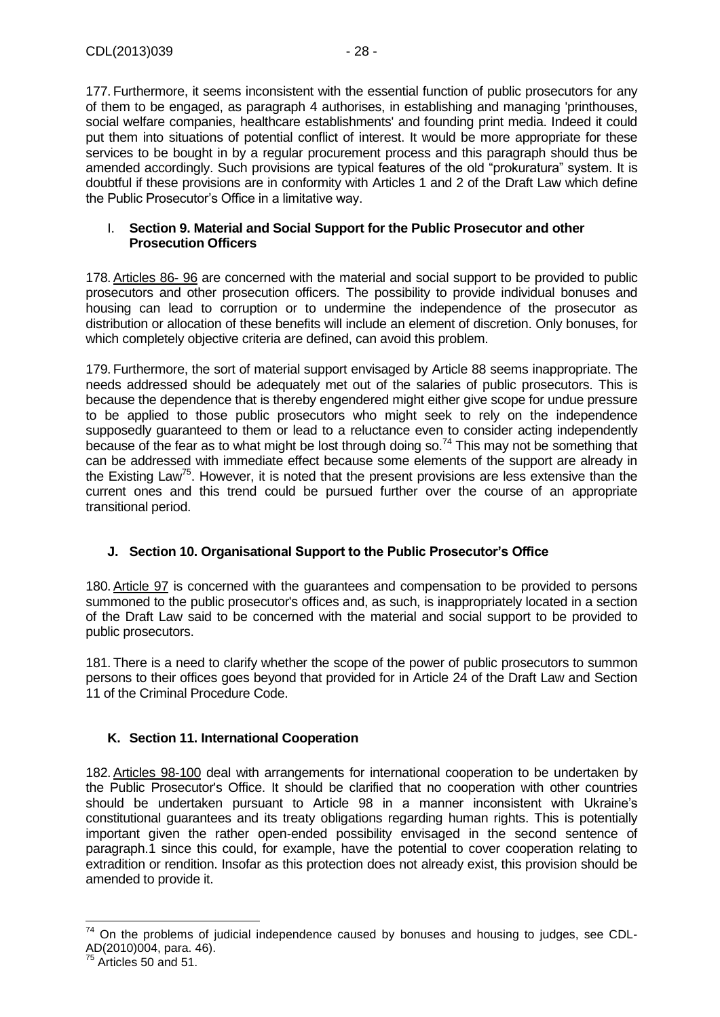177. Furthermore, it seems inconsistent with the essential function of public prosecutors for any of them to be engaged, as paragraph 4 authorises, in establishing and managing 'printhouses, social welfare companies, healthcare establishments' and founding print media. Indeed it could put them into situations of potential conflict of interest. It would be more appropriate for these services to be bought in by a regular procurement process and this paragraph should thus be amended accordingly. Such provisions are typical features of the old "prokuratura" system. It is doubtful if these provisions are in conformity with Articles 1 and 2 of the Draft Law which define the Public Prosecutor's Office in a limitative way.

## <span id="page-27-0"></span>I. **Section 9. Material and Social Support for the Public Prosecutor and other Prosecution Officers**

178. Articles 86- 96 are concerned with the material and social support to be provided to public prosecutors and other prosecution officers. The possibility to provide individual bonuses and housing can lead to corruption or to undermine the independence of the prosecutor as distribution or allocation of these benefits will include an element of discretion. Only bonuses, for which completely objective criteria are defined, can avoid this problem.

179. Furthermore, the sort of material support envisaged by Article 88 seems inappropriate. The needs addressed should be adequately met out of the salaries of public prosecutors. This is because the dependence that is thereby engendered might either give scope for undue pressure to be applied to those public prosecutors who might seek to rely on the independence supposedly guaranteed to them or lead to a reluctance even to consider acting independently because of the fear as to what might be lost through doing so.<sup>74</sup> This may not be something that can be addressed with immediate effect because some elements of the support are already in the Existing Law<sup>75</sup>. However, it is noted that the present provisions are less extensive than the current ones and this trend could be pursued further over the course of an appropriate transitional period.

# <span id="page-27-1"></span>**J. Section 10. Organisational Support to the Public Prosecutor's Office**

180.Article 97 is concerned with the guarantees and compensation to be provided to persons summoned to the public prosecutor's offices and, as such, is inappropriately located in a section of the Draft Law said to be concerned with the material and social support to be provided to public prosecutors.

181. There is a need to clarify whether the scope of the power of public prosecutors to summon persons to their offices goes beyond that provided for in Article 24 of the Draft Law and Section 11 of the Criminal Procedure Code.

# <span id="page-27-3"></span><span id="page-27-2"></span>**K. Section 11. International Cooperation**

182.Articles 98-100 deal with arrangements for international cooperation to be undertaken by the Public Prosecutor's Office. It should be clarified that no cooperation with other countries should be undertaken pursuant to Article 98 in a manner inconsistent with Ukraine's constitutional guarantees and its treaty obligations regarding human rights. This is potentially important given the rather open-ended possibility envisaged in the second sentence of paragraph.1 since this could, for example, have the potential to cover cooperation relating to extradition or rendition. Insofar as this protection does not already exist, this provision should be amended to provide it.

 $\overline{a}$ 

<sup>74</sup> On the problems of judicial independence caused by bonuses and housing to judges, see CDL- $AD(2010)004$ , para. 46).

 $\overrightarrow{Ar}$  Articles 50 and 51.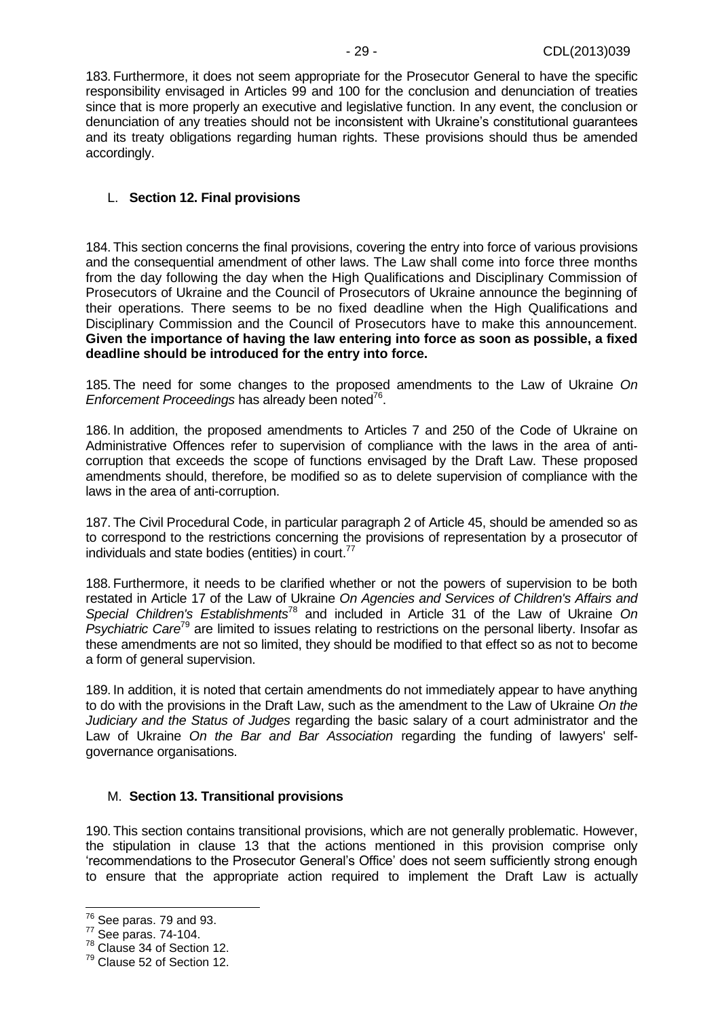<span id="page-28-2"></span>183. Furthermore, it does not seem appropriate for the Prosecutor General to have the specific responsibility envisaged in Articles 99 and 100 for the conclusion and denunciation of treaties since that is more properly an executive and legislative function. In any event, the conclusion or denunciation of any treaties should not be inconsistent with Ukraine's constitutional guarantees and its treaty obligations regarding human rights. These provisions should thus be amended accordingly.

### <span id="page-28-0"></span>L. **Section 12. Final provisions**

184. This section concerns the final provisions, covering the entry into force of various provisions and the consequential amendment of other laws. The Law shall come into force three months from the day following the day when the High Qualifications and Disciplinary Commission of Prosecutors of Ukraine and the Council of Prosecutors of Ukraine announce the beginning of their operations. There seems to be no fixed deadline when the High Qualifications and Disciplinary Commission and the Council of Prosecutors have to make this announcement. **Given the importance of having the law entering into force as soon as possible, a fixed deadline should be introduced for the entry into force.**

185. The need for some changes to the proposed amendments to the Law of Ukraine *On*  Enforcement Proceedings has already been noted<sup>76</sup>.

186. In addition, the proposed amendments to Articles 7 and 250 of the Code of Ukraine on Administrative Offences refer to supervision of compliance with the laws in the area of anticorruption that exceeds the scope of functions envisaged by the Draft Law. These proposed amendments should, therefore, be modified so as to delete supervision of compliance with the laws in the area of anti-corruption.

187. The Civil Procedural Code, in particular paragraph 2 of Article 45, should be amended so as to correspond to the restrictions concerning the provisions of representation by a prosecutor of individuals and state bodies (entities) in court.<sup>77</sup>

188. Furthermore, it needs to be clarified whether or not the powers of supervision to be both restated in Article 17 of the Law of Ukraine *On Agencies and Services of Children's Affairs and Special Children's Establishments*<sup>78</sup> and included in Article 31 of the Law of Ukraine *On Psychiatric Care*<sup>79</sup> are limited to issues relating to restrictions on the personal liberty. Insofar as these amendments are not so limited, they should be modified to that effect so as not to become a form of general supervision.

189. In addition, it is noted that certain amendments do not immediately appear to have anything to do with the provisions in the Draft Law, such as the amendment to the Law of Ukraine *On the Judiciary and the Status of Judges* regarding the basic salary of a court administrator and the Law of Ukraine *On the Bar and Bar Association* regarding the funding of lawyers' selfgovernance organisations.

#### <span id="page-28-1"></span>M. **Section 13. Transitional provisions**

190. This section contains transitional provisions, which are not generally problematic. However, the stipulation in clause 13 that the actions mentioned in this provision comprise only 'recommendations to the Prosecutor General's Office' does not seem sufficiently strong enough to ensure that the appropriate action required to implement the Draft Law is actually

 $76$  See paras. [79](#page-14-1) and [93.](#page-16-0)

<sup>77</sup> See paras. 74-104.

 $78$  Clause 34 of Section 12.

<sup>79</sup> Clause 52 of Section 12.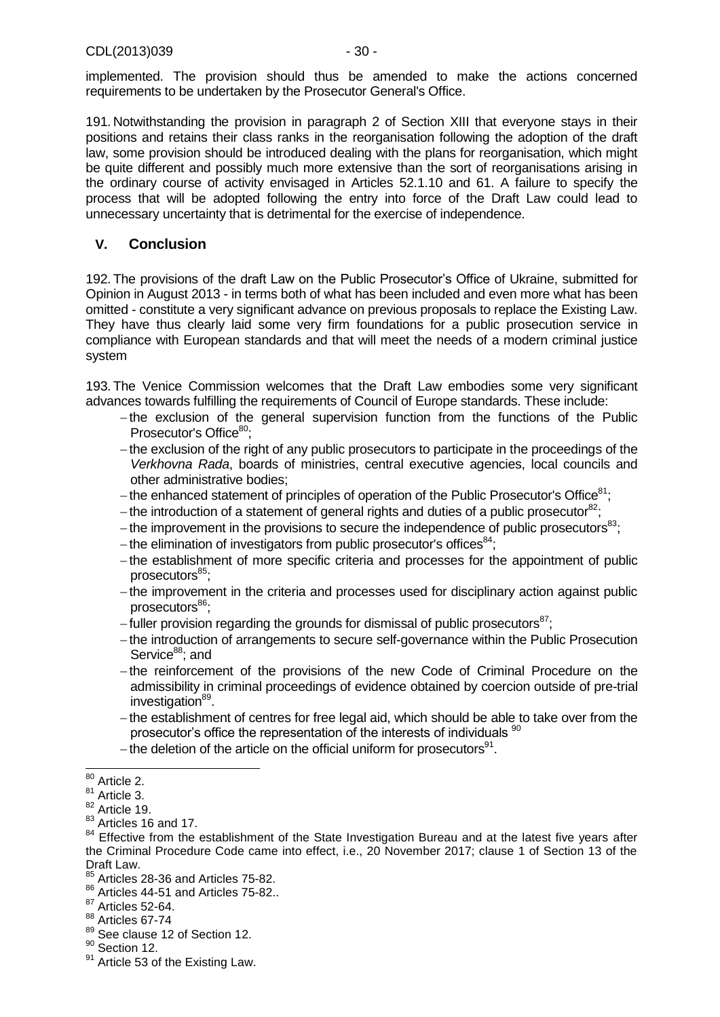implemented. The provision should thus be amended to make the actions concerned requirements to be undertaken by the Prosecutor General's Office.

191. Notwithstanding the provision in paragraph 2 of Section XIII that everyone stays in their positions and retains their class ranks in the reorganisation following the adoption of the draft law, some provision should be introduced dealing with the plans for reorganisation, which might be quite different and possibly much more extensive than the sort of reorganisations arising in the ordinary course of activity envisaged in Articles 52.1.10 and 61. A failure to specify the process that will be adopted following the entry into force of the Draft Law could lead to unnecessary uncertainty that is detrimental for the exercise of independence.

## <span id="page-29-0"></span>**V. Conclusion**

192. The provisions of the draft Law on the Public Prosecutor's Office of Ukraine, submitted for Opinion in August 2013 - in terms both of what has been included and even more what has been omitted - constitute a very significant advance on previous proposals to replace the Existing Law. They have thus clearly laid some very firm foundations for a public prosecution service in compliance with European standards and that will meet the needs of a modern criminal justice system

193. The Venice Commission welcomes that the Draft Law embodies some very significant advances towards fulfilling the requirements of Council of Europe standards. These include:

- $-$ the exclusion of the general supervision function from the functions of the Public Prosecutor's Office<sup>80</sup>:
- $-$ the exclusion of the right of any public prosecutors to participate in the proceedings of the *Verkhovna Rada*, boards of ministries, central executive agencies, local councils and other administrative bodies;
- the enhanced statement of principles of operation of the Public Prosecutor's Office $81$ ;
- $-$  the introduction of a statement of general rights and duties of a public prosecutor $^{82}$ :
- the improvement in the provisions to secure the independence of public prosecutors<sup>83</sup>;
- $-$  the elimination of investigators from public prosecutor's offices<sup>84</sup>;
- the establishment of more specific criteria and processes for the appointment of public  $processecutors<sup>85</sup>$ :
- the improvement in the criteria and processes used for disciplinary action against public prosecutors<sup>86</sup>:
- -fuller provision regarding the grounds for dismissal of public prosecutors<sup>87</sup>;
- the introduction of arrangements to secure self-governance within the Public Prosecution Service<sup>88</sup>; and
- -the reinforcement of the provisions of the new Code of Criminal Procedure on the admissibility in criminal proceedings of evidence obtained by coercion outside of pre-trial investigation<sup>89</sup>.
- the establishment of centres for free legal aid, which should be able to take over from the prosecutor's office the representation of the interests of individuals <sup>90</sup>
- the deletion of the article on the official uniform for prosecutors $91$ .

<sup>90</sup> Section 12.

 <sup>80</sup> Article 2.

 $81$  Article 3.

<sup>82</sup> Article 19.

<sup>&</sup>lt;sup>83</sup> Articles 16 and 17.

<sup>&</sup>lt;sup>84</sup> Effective from the establishment of the State Investigation Bureau and at the latest five years after the Criminal Procedure Code came into effect, i.e., 20 November 2017; clause 1 of Section 13 of the Draft Law.

<sup>85</sup> Articles 28-36 and Articles 75-82.

<sup>86</sup> Articles 44-51 and Articles 75-82..

 $87$  Articles 52-64.

<sup>88</sup> Articles 67-74

<sup>89</sup> See clause 12 of Section 12.

<sup>&</sup>lt;sup>91</sup> Article 53 of the Existing Law.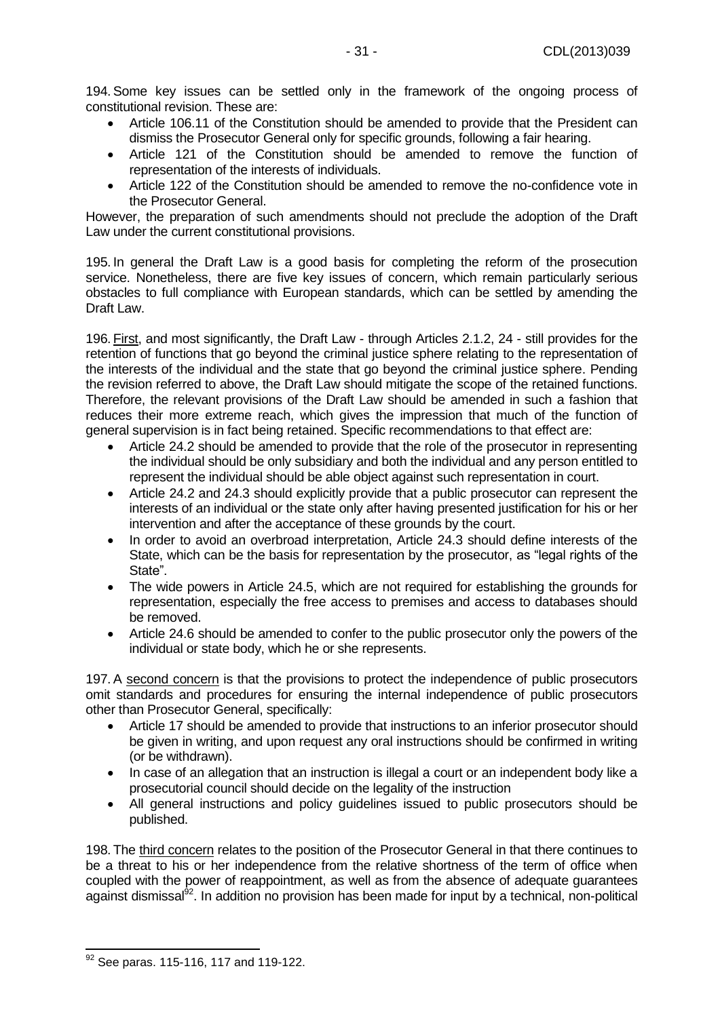194.Some key issues can be settled only in the framework of the ongoing process of constitutional revision. These are:

- Article 106.11 of the Constitution should be amended to provide that the President can dismiss the Prosecutor General only for specific grounds, following a fair hearing.
- Article 121 of the Constitution should be amended to remove the function of representation of the interests of individuals.
- Article 122 of the Constitution should be amended to remove the no-confidence vote in the Prosecutor General.

However, the preparation of such amendments should not preclude the adoption of the Draft Law under the current constitutional provisions.

195. In general the Draft Law is a good basis for completing the reform of the prosecution service. Nonetheless, there are five key issues of concern, which remain particularly serious obstacles to full compliance with European standards, which can be settled by amending the Draft Law.

196. First, and most significantly, the Draft Law - through Articles 2.1.2, 24 - still provides for the retention of functions that go beyond the criminal justice sphere relating to the representation of the interests of the individual and the state that go beyond the criminal justice sphere. Pending the revision referred to above, the Draft Law should mitigate the scope of the retained functions. Therefore, the relevant provisions of the Draft Law should be amended in such a fashion that reduces their more extreme reach, which gives the impression that much of the function of general supervision is in fact being retained. Specific recommendations to that effect are:

- Article 24.2 should be amended to provide that the role of the prosecutor in representing the individual should be only subsidiary and both the individual and any person entitled to represent the individual should be able object against such representation in court.
- Article 24.2 and 24.3 should explicitly provide that a public prosecutor can represent the interests of an individual or the state only after having presented justification for his or her intervention and after the acceptance of these grounds by the court.
- In order to avoid an overbroad interpretation, Article 24.3 should define interests of the State, which can be the basis for representation by the prosecutor, as "legal rights of the State".
- The wide powers in Article 24.5, which are not required for establishing the grounds for representation, especially the free access to premises and access to databases should be removed.
- Article 24.6 should be amended to confer to the public prosecutor only the powers of the individual or state body, which he or she represents.

197.A second concern is that the provisions to protect the independence of public prosecutors omit standards and procedures for ensuring the internal independence of public prosecutors other than Prosecutor General, specifically:

- Article 17 should be amended to provide that instructions to an inferior prosecutor should be given in writing, and upon request any oral instructions should be confirmed in writing (or be withdrawn).
- In case of an allegation that an instruction is illegal a court or an independent body like a prosecutorial council should decide on the legality of the instruction
- All general instructions and policy guidelines issued to public prosecutors should be published.

<span id="page-30-0"></span>198. The third concern relates to the position of the Prosecutor General in that there continues to be a threat to his or her independence from the relative shortness of the term of office when coupled with the power of reappointment, as well as from the absence of adequate guarantees against dismissal<sup>92</sup>. In addition no provision has been made for input by a technical, non-political

  $92$  See paras. [115-](#page-19-1)[116,](#page-19-0) [117](#page-19-2) and [119](#page-20-1)[-122.](#page-20-2)